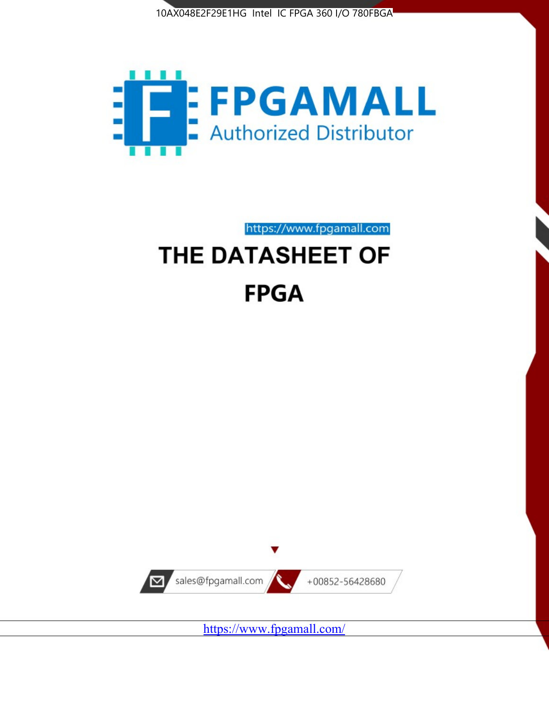



https://www.fpgamall.com

# THE DATASHEET OF **FPGA**



<https://www.fpgamall.com/>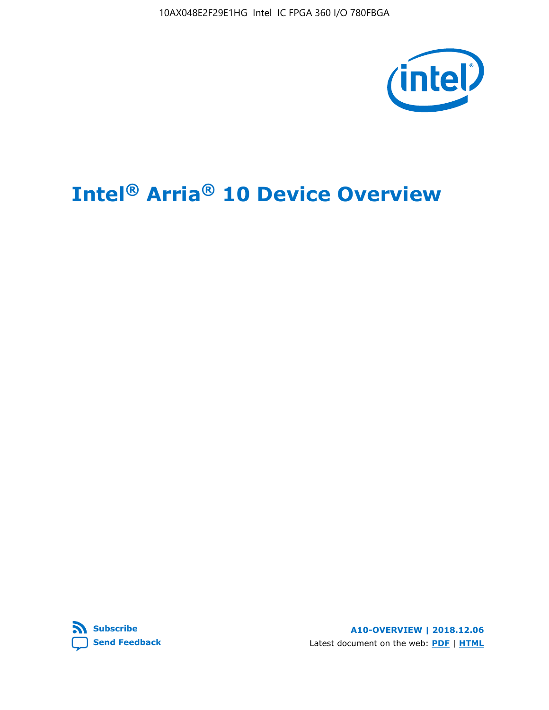10AX048E2F29E1HG Intel IC FPGA 360 I/O 780FBGA



# **Intel® Arria® 10 Device Overview**



**A10-OVERVIEW | 2018.12.06** Latest document on the web: **[PDF](https://www.intel.com/content/dam/www/programmable/us/en/pdfs/literature/hb/arria-10/a10_overview.pdf)** | **[HTML](https://www.intel.com/content/www/us/en/programmable/documentation/sam1403480274650.html)**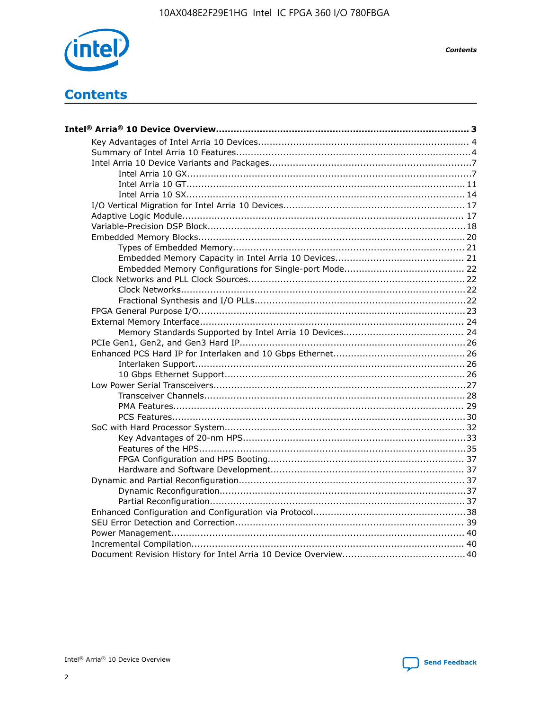

**Contents** 

## **Contents**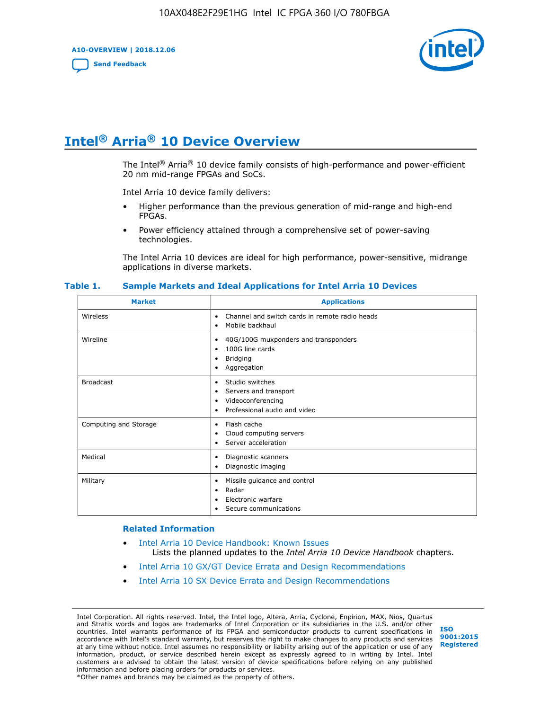**A10-OVERVIEW | 2018.12.06**

**[Send Feedback](mailto:FPGAtechdocfeedback@intel.com?subject=Feedback%20on%20Intel%20Arria%2010%20Device%20Overview%20(A10-OVERVIEW%202018.12.06)&body=We%20appreciate%20your%20feedback.%20In%20your%20comments,%20also%20specify%20the%20page%20number%20or%20paragraph.%20Thank%20you.)**



## **Intel® Arria® 10 Device Overview**

The Intel<sup>®</sup> Arria<sup>®</sup> 10 device family consists of high-performance and power-efficient 20 nm mid-range FPGAs and SoCs.

Intel Arria 10 device family delivers:

- Higher performance than the previous generation of mid-range and high-end FPGAs.
- Power efficiency attained through a comprehensive set of power-saving technologies.

The Intel Arria 10 devices are ideal for high performance, power-sensitive, midrange applications in diverse markets.

| <b>Market</b>         | <b>Applications</b>                                                                                               |
|-----------------------|-------------------------------------------------------------------------------------------------------------------|
| Wireless              | Channel and switch cards in remote radio heads<br>٠<br>Mobile backhaul<br>٠                                       |
| Wireline              | 40G/100G muxponders and transponders<br>٠<br>100G line cards<br>٠<br><b>Bridging</b><br>٠<br>Aggregation<br>٠     |
| <b>Broadcast</b>      | Studio switches<br>٠<br>Servers and transport<br>٠<br>Videoconferencing<br>٠<br>Professional audio and video<br>٠ |
| Computing and Storage | Flash cache<br>٠<br>Cloud computing servers<br>٠<br>Server acceleration<br>٠                                      |
| Medical               | Diagnostic scanners<br>٠<br>Diagnostic imaging<br>٠                                                               |
| Military              | Missile guidance and control<br>٠<br>Radar<br>٠<br>Electronic warfare<br>٠<br>Secure communications<br>٠          |

#### **Table 1. Sample Markets and Ideal Applications for Intel Arria 10 Devices**

#### **Related Information**

- [Intel Arria 10 Device Handbook: Known Issues](http://www.altera.com/support/kdb/solutions/rd07302013_646.html) Lists the planned updates to the *Intel Arria 10 Device Handbook* chapters.
- [Intel Arria 10 GX/GT Device Errata and Design Recommendations](https://www.intel.com/content/www/us/en/programmable/documentation/agz1493851706374.html#yqz1494433888646)
- [Intel Arria 10 SX Device Errata and Design Recommendations](https://www.intel.com/content/www/us/en/programmable/documentation/cru1462832385668.html#cru1462832558642)

Intel Corporation. All rights reserved. Intel, the Intel logo, Altera, Arria, Cyclone, Enpirion, MAX, Nios, Quartus and Stratix words and logos are trademarks of Intel Corporation or its subsidiaries in the U.S. and/or other countries. Intel warrants performance of its FPGA and semiconductor products to current specifications in accordance with Intel's standard warranty, but reserves the right to make changes to any products and services at any time without notice. Intel assumes no responsibility or liability arising out of the application or use of any information, product, or service described herein except as expressly agreed to in writing by Intel. Intel customers are advised to obtain the latest version of device specifications before relying on any published information and before placing orders for products or services. \*Other names and brands may be claimed as the property of others.

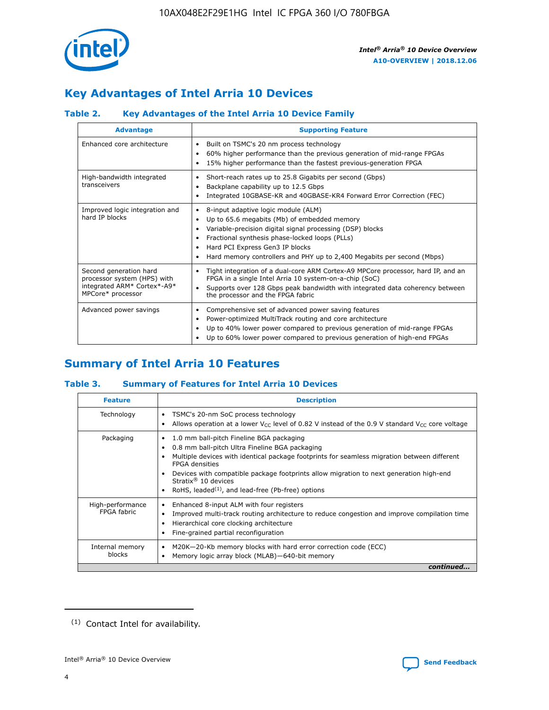

## **Key Advantages of Intel Arria 10 Devices**

#### **Table 2. Key Advantages of the Intel Arria 10 Device Family**

| <b>Advantage</b>                                                                                          | <b>Supporting Feature</b>                                                                                                                                                                                                                                                                                                |
|-----------------------------------------------------------------------------------------------------------|--------------------------------------------------------------------------------------------------------------------------------------------------------------------------------------------------------------------------------------------------------------------------------------------------------------------------|
| Enhanced core architecture                                                                                | Built on TSMC's 20 nm process technology<br>٠<br>60% higher performance than the previous generation of mid-range FPGAs<br>٠<br>15% higher performance than the fastest previous-generation FPGA<br>٠                                                                                                                    |
| High-bandwidth integrated<br>transceivers                                                                 | Short-reach rates up to 25.8 Gigabits per second (Gbps)<br>٠<br>Backplane capability up to 12.5 Gbps<br>٠<br>Integrated 10GBASE-KR and 40GBASE-KR4 Forward Error Correction (FEC)<br>٠                                                                                                                                   |
| Improved logic integration and<br>hard IP blocks                                                          | 8-input adaptive logic module (ALM)<br>٠<br>Up to 65.6 megabits (Mb) of embedded memory<br>٠<br>Variable-precision digital signal processing (DSP) blocks<br>Fractional synthesis phase-locked loops (PLLs)<br>Hard PCI Express Gen3 IP blocks<br>Hard memory controllers and PHY up to 2,400 Megabits per second (Mbps) |
| Second generation hard<br>processor system (HPS) with<br>integrated ARM* Cortex*-A9*<br>MPCore* processor | Tight integration of a dual-core ARM Cortex-A9 MPCore processor, hard IP, and an<br>٠<br>FPGA in a single Intel Arria 10 system-on-a-chip (SoC)<br>Supports over 128 Gbps peak bandwidth with integrated data coherency between<br>$\bullet$<br>the processor and the FPGA fabric                                        |
| Advanced power savings                                                                                    | Comprehensive set of advanced power saving features<br>٠<br>Power-optimized MultiTrack routing and core architecture<br>٠<br>Up to 40% lower power compared to previous generation of mid-range FPGAs<br>٠<br>Up to 60% lower power compared to previous generation of high-end FPGAs<br>٠                               |

## **Summary of Intel Arria 10 Features**

#### **Table 3. Summary of Features for Intel Arria 10 Devices**

| <b>Feature</b>                  | <b>Description</b>                                                                                                                                                                                                                                                                                                                                                                                           |
|---------------------------------|--------------------------------------------------------------------------------------------------------------------------------------------------------------------------------------------------------------------------------------------------------------------------------------------------------------------------------------------------------------------------------------------------------------|
| Technology                      | TSMC's 20-nm SoC process technology<br>٠<br>Allows operation at a lower $V_{CC}$ level of 0.82 V instead of the 0.9 V standard $V_{CC}$ core voltage                                                                                                                                                                                                                                                         |
| Packaging                       | 1.0 mm ball-pitch Fineline BGA packaging<br>٠<br>0.8 mm ball-pitch Ultra Fineline BGA packaging<br>Multiple devices with identical package footprints for seamless migration between different<br><b>FPGA</b> densities<br>Devices with compatible package footprints allow migration to next generation high-end<br>Stratix <sup>®</sup> 10 devices<br>RoHS, leaded $(1)$ , and lead-free (Pb-free) options |
| High-performance<br>FPGA fabric | Enhanced 8-input ALM with four registers<br>Improved multi-track routing architecture to reduce congestion and improve compilation time<br>Hierarchical core clocking architecture<br>Fine-grained partial reconfiguration                                                                                                                                                                                   |
| Internal memory<br>blocks       | M20K-20-Kb memory blocks with hard error correction code (ECC)<br>٠<br>Memory logic array block (MLAB)-640-bit memory                                                                                                                                                                                                                                                                                        |
|                                 | continued                                                                                                                                                                                                                                                                                                                                                                                                    |



<sup>(1)</sup> Contact Intel for availability.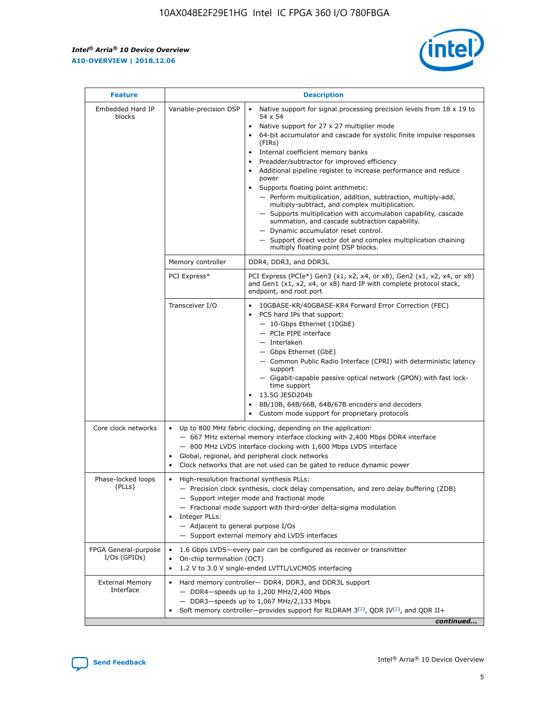$\mathsf{r}$ 



| <b>Feature</b>                         | <b>Description</b>                                                                                             |                                                                                                                                                                                                                                                                                                                                                                                                                                                                                                                                                                                                                                                                                                                                                                                                                                        |  |  |  |  |  |
|----------------------------------------|----------------------------------------------------------------------------------------------------------------|----------------------------------------------------------------------------------------------------------------------------------------------------------------------------------------------------------------------------------------------------------------------------------------------------------------------------------------------------------------------------------------------------------------------------------------------------------------------------------------------------------------------------------------------------------------------------------------------------------------------------------------------------------------------------------------------------------------------------------------------------------------------------------------------------------------------------------------|--|--|--|--|--|
| Embedded Hard IP<br>blocks             | Variable-precision DSP                                                                                         | Native support for signal processing precision levels from $18 \times 19$ to<br>54 x 54<br>Native support for 27 x 27 multiplier mode<br>64-bit accumulator and cascade for systolic finite impulse responses<br>(FIRs)<br>Internal coefficient memory banks<br>$\bullet$<br>Preadder/subtractor for improved efficiency<br>Additional pipeline register to increase performance and reduce<br>power<br>Supports floating point arithmetic:<br>- Perform multiplication, addition, subtraction, multiply-add,<br>multiply-subtract, and complex multiplication.<br>- Supports multiplication with accumulation capability, cascade<br>summation, and cascade subtraction capability.<br>- Dynamic accumulator reset control.<br>- Support direct vector dot and complex multiplication chaining<br>multiply floating point DSP blocks. |  |  |  |  |  |
|                                        | Memory controller                                                                                              | DDR4, DDR3, and DDR3L                                                                                                                                                                                                                                                                                                                                                                                                                                                                                                                                                                                                                                                                                                                                                                                                                  |  |  |  |  |  |
|                                        | PCI Express*                                                                                                   | PCI Express (PCIe*) Gen3 (x1, x2, x4, or x8), Gen2 (x1, x2, x4, or x8)<br>and Gen1 (x1, x2, x4, or x8) hard IP with complete protocol stack,<br>endpoint, and root port                                                                                                                                                                                                                                                                                                                                                                                                                                                                                                                                                                                                                                                                |  |  |  |  |  |
|                                        | Transceiver I/O                                                                                                | 10GBASE-KR/40GBASE-KR4 Forward Error Correction (FEC)<br>PCS hard IPs that support:<br>$\bullet$<br>- 10-Gbps Ethernet (10GbE)<br>- PCIe PIPE interface<br>$-$ Interlaken<br>- Gbps Ethernet (GbE)<br>- Common Public Radio Interface (CPRI) with deterministic latency<br>support<br>- Gigabit-capable passive optical network (GPON) with fast lock-<br>time support<br>13.5G JESD204b<br>$\bullet$<br>8B/10B, 64B/66B, 64B/67B encoders and decoders<br>Custom mode support for proprietary protocols                                                                                                                                                                                                                                                                                                                               |  |  |  |  |  |
| Core clock networks                    | $\bullet$<br>$\bullet$                                                                                         | Up to 800 MHz fabric clocking, depending on the application:<br>- 667 MHz external memory interface clocking with 2,400 Mbps DDR4 interface<br>- 800 MHz LVDS interface clocking with 1,600 Mbps LVDS interface<br>Global, regional, and peripheral clock networks<br>Clock networks that are not used can be gated to reduce dynamic power                                                                                                                                                                                                                                                                                                                                                                                                                                                                                            |  |  |  |  |  |
| Phase-locked loops<br>(PLLs)           | High-resolution fractional synthesis PLLs:<br>$\bullet$<br>Integer PLLs:<br>- Adjacent to general purpose I/Os | - Precision clock synthesis, clock delay compensation, and zero delay buffering (ZDB)<br>- Support integer mode and fractional mode<br>- Fractional mode support with third-order delta-sigma modulation<br>- Support external memory and LVDS interfaces                                                                                                                                                                                                                                                                                                                                                                                                                                                                                                                                                                              |  |  |  |  |  |
| FPGA General-purpose<br>$I/Os$ (GPIOs) | On-chip termination (OCT)                                                                                      | 1.6 Gbps LVDS-every pair can be configured as receiver or transmitter<br>1.2 V to 3.0 V single-ended LVTTL/LVCMOS interfacing                                                                                                                                                                                                                                                                                                                                                                                                                                                                                                                                                                                                                                                                                                          |  |  |  |  |  |
| <b>External Memory</b><br>Interface    |                                                                                                                | Hard memory controller- DDR4, DDR3, and DDR3L support<br>$-$ DDR4 $-$ speeds up to 1,200 MHz/2,400 Mbps<br>- DDR3-speeds up to 1,067 MHz/2,133 Mbps<br>Soft memory controller—provides support for RLDRAM $3^{(2)}$ , QDR IV $^{(2)}$ , and QDR II+<br>continued                                                                                                                                                                                                                                                                                                                                                                                                                                                                                                                                                                       |  |  |  |  |  |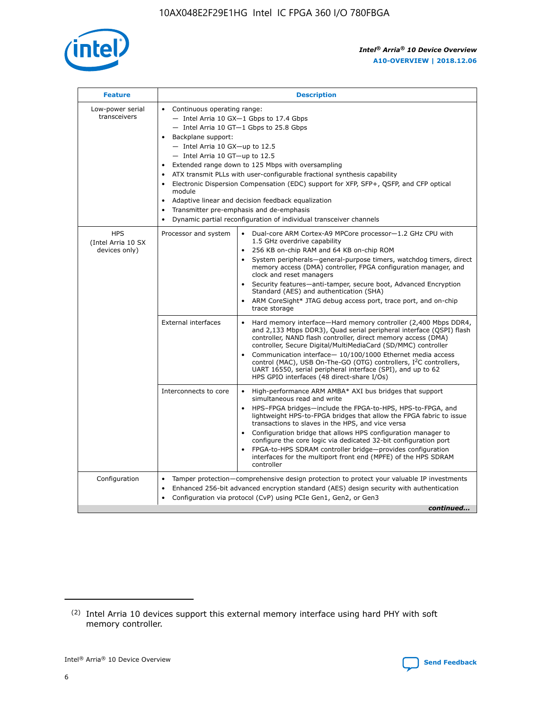

| <b>Feature</b>                                    | <b>Description</b>                                                                                                                                                                                                                                                                                                                                                                                                                                                                                                                                                                                                                                  |
|---------------------------------------------------|-----------------------------------------------------------------------------------------------------------------------------------------------------------------------------------------------------------------------------------------------------------------------------------------------------------------------------------------------------------------------------------------------------------------------------------------------------------------------------------------------------------------------------------------------------------------------------------------------------------------------------------------------------|
| Low-power serial<br>transceivers                  | • Continuous operating range:<br>- Intel Arria 10 GX-1 Gbps to 17.4 Gbps<br>- Intel Arria 10 GT-1 Gbps to 25.8 Gbps<br>Backplane support:<br>- Intel Arria 10 GX-up to 12.5<br>- Intel Arria 10 GT-up to 12.5<br>Extended range down to 125 Mbps with oversampling<br>ATX transmit PLLs with user-configurable fractional synthesis capability<br>Electronic Dispersion Compensation (EDC) support for XFP, SFP+, QSFP, and CFP optical<br>module<br>Adaptive linear and decision feedback equalization<br>$\bullet$<br>Transmitter pre-emphasis and de-emphasis<br>$\bullet$<br>Dynamic partial reconfiguration of individual transceiver channels |
| <b>HPS</b><br>(Intel Arria 10 SX<br>devices only) | Dual-core ARM Cortex-A9 MPCore processor-1.2 GHz CPU with<br>Processor and system<br>$\bullet$<br>1.5 GHz overdrive capability<br>256 KB on-chip RAM and 64 KB on-chip ROM<br>System peripherals—general-purpose timers, watchdog timers, direct<br>memory access (DMA) controller, FPGA configuration manager, and<br>clock and reset managers<br>Security features-anti-tamper, secure boot, Advanced Encryption<br>Standard (AES) and authentication (SHA)<br>ARM CoreSight* JTAG debug access port, trace port, and on-chip<br>trace storage                                                                                                    |
|                                                   | <b>External interfaces</b><br>Hard memory interface-Hard memory controller (2,400 Mbps DDR4,<br>$\bullet$<br>and 2,133 Mbps DDR3), Quad serial peripheral interface (QSPI) flash<br>controller, NAND flash controller, direct memory access (DMA)<br>controller, Secure Digital/MultiMediaCard (SD/MMC) controller<br>Communication interface-10/100/1000 Ethernet media access<br>control (MAC), USB On-The-GO (OTG) controllers, I <sup>2</sup> C controllers,<br>UART 16550, serial peripheral interface (SPI), and up to 62<br>HPS GPIO interfaces (48 direct-share I/Os)                                                                       |
|                                                   | High-performance ARM AMBA* AXI bus bridges that support<br>Interconnects to core<br>$\bullet$<br>simultaneous read and write<br>HPS-FPGA bridges-include the FPGA-to-HPS, HPS-to-FPGA, and<br>$\bullet$<br>lightweight HPS-to-FPGA bridges that allow the FPGA fabric to issue<br>transactions to slaves in the HPS, and vice versa<br>Configuration bridge that allows HPS configuration manager to<br>configure the core logic via dedicated 32-bit configuration port<br>FPGA-to-HPS SDRAM controller bridge-provides configuration<br>interfaces for the multiport front end (MPFE) of the HPS SDRAM<br>controller                              |
| Configuration                                     | Tamper protection—comprehensive design protection to protect your valuable IP investments<br>Enhanced 256-bit advanced encryption standard (AES) design security with authentication<br>٠<br>Configuration via protocol (CvP) using PCIe Gen1, Gen2, or Gen3<br>continued                                                                                                                                                                                                                                                                                                                                                                           |

<sup>(2)</sup> Intel Arria 10 devices support this external memory interface using hard PHY with soft memory controller.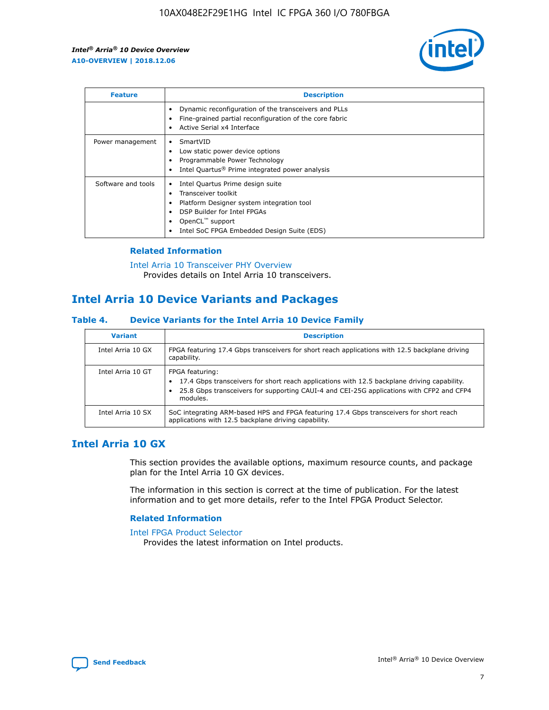

| <b>Feature</b>     | <b>Description</b>                                                                                                                                                                                               |
|--------------------|------------------------------------------------------------------------------------------------------------------------------------------------------------------------------------------------------------------|
|                    | Dynamic reconfiguration of the transceivers and PLLs<br>Fine-grained partial reconfiguration of the core fabric<br>Active Serial x4 Interface<br>$\bullet$                                                       |
| Power management   | SmartVID<br>Low static power device options<br>Programmable Power Technology<br>Intel Quartus <sup>®</sup> Prime integrated power analysis                                                                       |
| Software and tools | Intel Quartus Prime design suite<br>Transceiver toolkit<br>Platform Designer system integration tool<br>DSP Builder for Intel FPGAs<br>OpenCL <sup>™</sup> support<br>Intel SoC FPGA Embedded Design Suite (EDS) |

#### **Related Information**

[Intel Arria 10 Transceiver PHY Overview](https://www.intel.com/content/www/us/en/programmable/documentation/nik1398707230472.html#nik1398706768037) Provides details on Intel Arria 10 transceivers.

## **Intel Arria 10 Device Variants and Packages**

#### **Table 4. Device Variants for the Intel Arria 10 Device Family**

| <b>Variant</b>    | <b>Description</b>                                                                                                                                                                                                     |
|-------------------|------------------------------------------------------------------------------------------------------------------------------------------------------------------------------------------------------------------------|
| Intel Arria 10 GX | FPGA featuring 17.4 Gbps transceivers for short reach applications with 12.5 backplane driving<br>capability.                                                                                                          |
| Intel Arria 10 GT | FPGA featuring:<br>17.4 Gbps transceivers for short reach applications with 12.5 backplane driving capability.<br>25.8 Gbps transceivers for supporting CAUI-4 and CEI-25G applications with CFP2 and CFP4<br>modules. |
| Intel Arria 10 SX | SoC integrating ARM-based HPS and FPGA featuring 17.4 Gbps transceivers for short reach<br>applications with 12.5 backplane driving capability.                                                                        |

## **Intel Arria 10 GX**

This section provides the available options, maximum resource counts, and package plan for the Intel Arria 10 GX devices.

The information in this section is correct at the time of publication. For the latest information and to get more details, refer to the Intel FPGA Product Selector.

#### **Related Information**

#### [Intel FPGA Product Selector](http://www.altera.com/products/selector/psg-selector.html) Provides the latest information on Intel products.

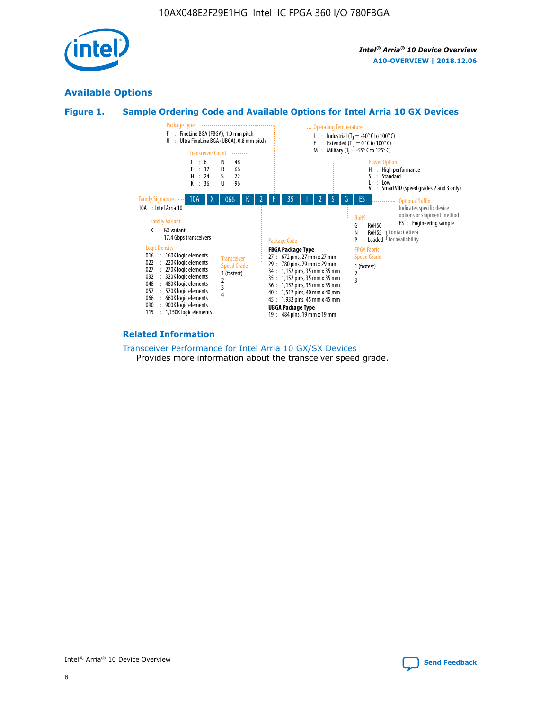

## **Available Options**





#### **Related Information**

[Transceiver Performance for Intel Arria 10 GX/SX Devices](https://www.intel.com/content/www/us/en/programmable/documentation/mcn1413182292568.html#mcn1413213965502) Provides more information about the transceiver speed grade.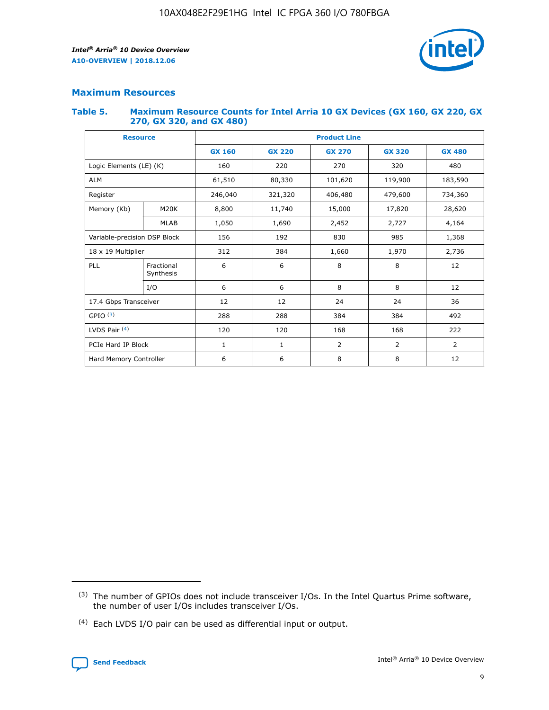

## **Maximum Resources**

#### **Table 5. Maximum Resource Counts for Intel Arria 10 GX Devices (GX 160, GX 220, GX 270, GX 320, and GX 480)**

| <b>Resource</b>              |                         | <b>Product Line</b> |                                |                |                |                |  |  |  |
|------------------------------|-------------------------|---------------------|--------------------------------|----------------|----------------|----------------|--|--|--|
|                              |                         | <b>GX 160</b>       | <b>GX 220</b><br><b>GX 270</b> |                | <b>GX 320</b>  | <b>GX 480</b>  |  |  |  |
| Logic Elements (LE) (K)      |                         | 160                 | 220                            | 270            | 320            | 480            |  |  |  |
| <b>ALM</b>                   |                         | 61,510              | 80,330                         | 101,620        | 119,900        | 183,590        |  |  |  |
| Register                     |                         | 246,040             | 406,480<br>321,320             |                | 479,600        | 734,360        |  |  |  |
| Memory (Kb)                  | M <sub>20</sub> K       | 8,800               | 11,740                         | 15,000         | 17,820         | 28,620         |  |  |  |
|                              | <b>MLAB</b>             | 1,050               | 1,690                          | 2,452          | 2,727          | 4,164          |  |  |  |
| Variable-precision DSP Block |                         | 156                 | 192                            | 830            | 985            | 1,368          |  |  |  |
|                              | 18 x 19 Multiplier      |                     | 384                            | 1,970<br>1,660 |                | 2,736          |  |  |  |
| PLL                          | Fractional<br>Synthesis | 6                   | 6                              | 8              | 8              | 12             |  |  |  |
|                              | I/O                     | 6                   | 6                              | 8              | 8              | 12             |  |  |  |
| 17.4 Gbps Transceiver        |                         | 12                  | 12                             | 24             | 24             | 36             |  |  |  |
| GPIO <sup>(3)</sup>          |                         | 288                 | 288                            | 384            | 384            |                |  |  |  |
| LVDS Pair $(4)$              |                         | 120                 | 120                            | 168            | 168            | 222            |  |  |  |
| PCIe Hard IP Block           |                         | 1                   | 1                              | 2              | $\overline{2}$ | $\overline{2}$ |  |  |  |
| Hard Memory Controller       |                         | 6                   | 6                              | 8<br>8         |                | 12             |  |  |  |

<sup>(4)</sup> Each LVDS I/O pair can be used as differential input or output.



<sup>(3)</sup> The number of GPIOs does not include transceiver I/Os. In the Intel Quartus Prime software, the number of user I/Os includes transceiver I/Os.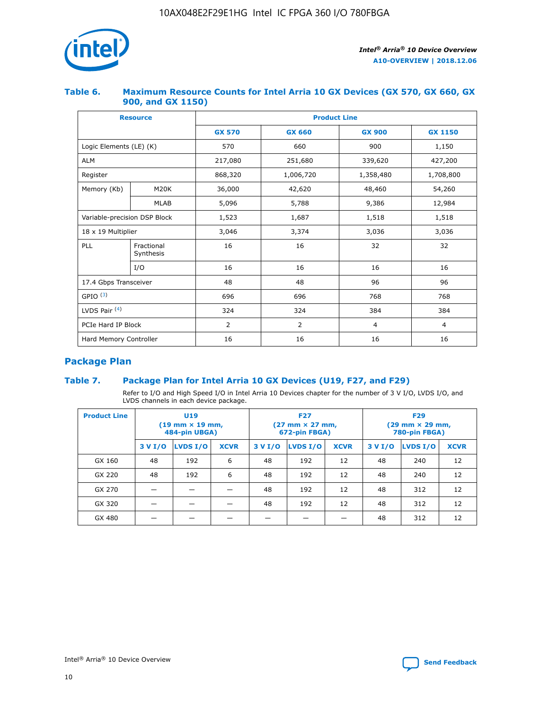

#### **Table 6. Maximum Resource Counts for Intel Arria 10 GX Devices (GX 570, GX 660, GX 900, and GX 1150)**

|                              | <b>Resource</b>         | <b>Product Line</b> |               |                |                |  |  |  |  |
|------------------------------|-------------------------|---------------------|---------------|----------------|----------------|--|--|--|--|
|                              |                         | <b>GX 570</b>       | <b>GX 660</b> | <b>GX 900</b>  | <b>GX 1150</b> |  |  |  |  |
| Logic Elements (LE) (K)      |                         | 570                 | 660           | 900            | 1,150          |  |  |  |  |
| <b>ALM</b>                   |                         | 217,080             | 251,680       | 339,620        | 427,200        |  |  |  |  |
| Register                     |                         | 868,320             | 1,006,720     |                | 1,708,800      |  |  |  |  |
| Memory (Kb)                  | <b>M20K</b>             | 36,000              | 42,620        | 48,460         | 54,260         |  |  |  |  |
|                              | <b>MLAB</b>             | 5,096               | 5,788         | 9,386          | 12,984         |  |  |  |  |
| Variable-precision DSP Block |                         | 1,523               | 1,687         | 1,518          | 1,518          |  |  |  |  |
| $18 \times 19$ Multiplier    |                         | 3,046               | 3,374         | 3,036          | 3,036          |  |  |  |  |
| PLL                          | Fractional<br>Synthesis | 16                  | 16            | 32             | 32             |  |  |  |  |
|                              | I/O                     | 16                  | 16            | 16             | 16             |  |  |  |  |
| 17.4 Gbps Transceiver        |                         | 48                  | 48            | 96             | 96             |  |  |  |  |
| GPIO <sup>(3)</sup>          |                         | 696                 | 696           | 768            | 768            |  |  |  |  |
| LVDS Pair $(4)$              |                         | 324                 | 324           |                | 384            |  |  |  |  |
| PCIe Hard IP Block           |                         | 2                   | 2             | $\overline{4}$ | $\overline{4}$ |  |  |  |  |
| Hard Memory Controller       |                         | 16                  | 16            | 16             | 16             |  |  |  |  |

## **Package Plan**

#### **Table 7. Package Plan for Intel Arria 10 GX Devices (U19, F27, and F29)**

Refer to I/O and High Speed I/O in Intel Arria 10 Devices chapter for the number of 3 V I/O, LVDS I/O, and LVDS channels in each device package.

| <b>Product Line</b> | U <sub>19</sub><br>$(19 \text{ mm} \times 19 \text{ mm})$<br>484-pin UBGA) |          |             |         | <b>F27</b><br>(27 mm × 27 mm,<br>672-pin FBGA) |             | <b>F29</b><br>(29 mm × 29 mm,<br>780-pin FBGA) |          |             |  |
|---------------------|----------------------------------------------------------------------------|----------|-------------|---------|------------------------------------------------|-------------|------------------------------------------------|----------|-------------|--|
|                     | 3 V I/O                                                                    | LVDS I/O | <b>XCVR</b> | 3 V I/O | LVDS I/O                                       | <b>XCVR</b> | 3 V I/O                                        | LVDS I/O | <b>XCVR</b> |  |
| GX 160              | 48                                                                         | 192      | 6           | 48      | 192                                            | 12          | 48                                             | 240      | 12          |  |
| GX 220              | 48                                                                         | 192      | 6           | 48      | 192                                            | 12          | 48                                             | 240      | 12          |  |
| GX 270              |                                                                            |          |             | 48      | 192                                            | 12          | 48                                             | 312      | 12          |  |
| GX 320              |                                                                            |          |             | 48      | 192                                            | 12          | 48                                             | 312      | 12          |  |
| GX 480              |                                                                            |          |             |         |                                                |             | 48                                             | 312      | 12          |  |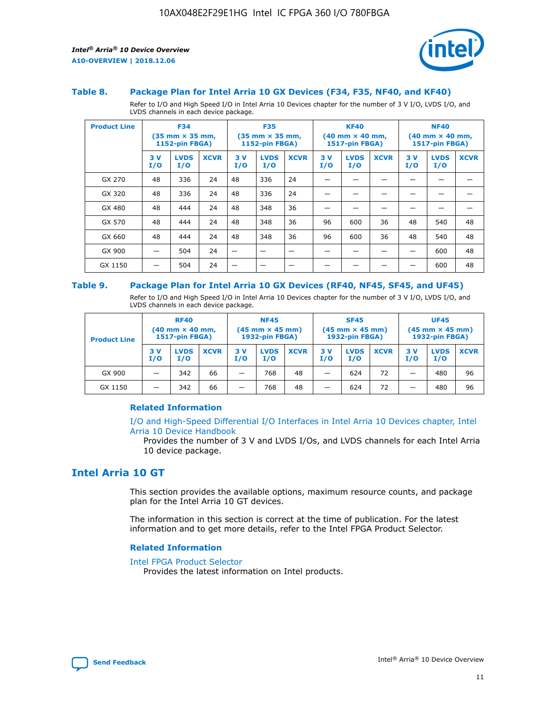

#### **Table 8. Package Plan for Intel Arria 10 GX Devices (F34, F35, NF40, and KF40)**

Refer to I/O and High Speed I/O in Intel Arria 10 Devices chapter for the number of 3 V I/O, LVDS I/O, and LVDS channels in each device package.

| <b>Product Line</b> | <b>F34</b><br>$(35 \text{ mm} \times 35 \text{ mm})$<br>1152-pin FBGA) |                    | <b>F35</b><br>$(35 \text{ mm} \times 35 \text{ mm})$<br><b>1152-pin FBGA)</b> |           | <b>KF40</b><br>$(40$ mm $\times$ 40 mm,<br>1517-pin FBGA) |             |           | <b>NF40</b><br>$(40$ mm $\times$ 40 mm,<br><b>1517-pin FBGA)</b> |             |            |                    |             |
|---------------------|------------------------------------------------------------------------|--------------------|-------------------------------------------------------------------------------|-----------|-----------------------------------------------------------|-------------|-----------|------------------------------------------------------------------|-------------|------------|--------------------|-------------|
|                     | 3V<br>I/O                                                              | <b>LVDS</b><br>I/O | <b>XCVR</b>                                                                   | 3V<br>I/O | <b>LVDS</b><br>I/O                                        | <b>XCVR</b> | 3V<br>I/O | <b>LVDS</b><br>I/O                                               | <b>XCVR</b> | 3 V<br>I/O | <b>LVDS</b><br>I/O | <b>XCVR</b> |
| GX 270              | 48                                                                     | 336                | 24                                                                            | 48        | 336                                                       | 24          |           |                                                                  |             |            |                    |             |
| GX 320              | 48                                                                     | 336                | 24                                                                            | 48        | 336                                                       | 24          |           |                                                                  |             |            |                    |             |
| GX 480              | 48                                                                     | 444                | 24                                                                            | 48        | 348                                                       | 36          |           |                                                                  |             |            |                    |             |
| GX 570              | 48                                                                     | 444                | 24                                                                            | 48        | 348                                                       | 36          | 96        | 600                                                              | 36          | 48         | 540                | 48          |
| GX 660              | 48                                                                     | 444                | 24                                                                            | 48        | 348                                                       | 36          | 96        | 600                                                              | 36          | 48         | 540                | 48          |
| GX 900              |                                                                        | 504                | 24                                                                            | -         |                                                           |             |           |                                                                  |             |            | 600                | 48          |
| GX 1150             |                                                                        | 504                | 24                                                                            |           |                                                           |             |           |                                                                  |             |            | 600                | 48          |

#### **Table 9. Package Plan for Intel Arria 10 GX Devices (RF40, NF45, SF45, and UF45)**

Refer to I/O and High Speed I/O in Intel Arria 10 Devices chapter for the number of 3 V I/O, LVDS I/O, and LVDS channels in each device package.

| <b>Product Line</b> | <b>RF40</b><br>$(40$ mm $\times$ 40 mm,<br>1517-pin FBGA) |                    |             | <b>NF45</b><br>$(45 \text{ mm} \times 45 \text{ mm})$<br><b>1932-pin FBGA)</b> |                    |             | <b>SF45</b><br>$(45 \text{ mm} \times 45 \text{ mm})$<br><b>1932-pin FBGA)</b> |                    |             | <b>UF45</b><br>$(45 \text{ mm} \times 45 \text{ mm})$<br><b>1932-pin FBGA)</b> |                    |             |
|---------------------|-----------------------------------------------------------|--------------------|-------------|--------------------------------------------------------------------------------|--------------------|-------------|--------------------------------------------------------------------------------|--------------------|-------------|--------------------------------------------------------------------------------|--------------------|-------------|
|                     | 3V<br>I/O                                                 | <b>LVDS</b><br>I/O | <b>XCVR</b> | 3 V<br>I/O                                                                     | <b>LVDS</b><br>I/O | <b>XCVR</b> | 3 V<br>I/O                                                                     | <b>LVDS</b><br>I/O | <b>XCVR</b> | 3V<br>I/O                                                                      | <b>LVDS</b><br>I/O | <b>XCVR</b> |
| GX 900              |                                                           | 342                | 66          | _                                                                              | 768                | 48          |                                                                                | 624                | 72          |                                                                                | 480                | 96          |
| GX 1150             |                                                           | 342                | 66          | _                                                                              | 768                | 48          |                                                                                | 624                | 72          |                                                                                | 480                | 96          |

#### **Related Information**

[I/O and High-Speed Differential I/O Interfaces in Intel Arria 10 Devices chapter, Intel](https://www.intel.com/content/www/us/en/programmable/documentation/sam1403482614086.html#sam1403482030321) [Arria 10 Device Handbook](https://www.intel.com/content/www/us/en/programmable/documentation/sam1403482614086.html#sam1403482030321)

Provides the number of 3 V and LVDS I/Os, and LVDS channels for each Intel Arria 10 device package.

## **Intel Arria 10 GT**

This section provides the available options, maximum resource counts, and package plan for the Intel Arria 10 GT devices.

The information in this section is correct at the time of publication. For the latest information and to get more details, refer to the Intel FPGA Product Selector.

#### **Related Information**

#### [Intel FPGA Product Selector](http://www.altera.com/products/selector/psg-selector.html)

Provides the latest information on Intel products.

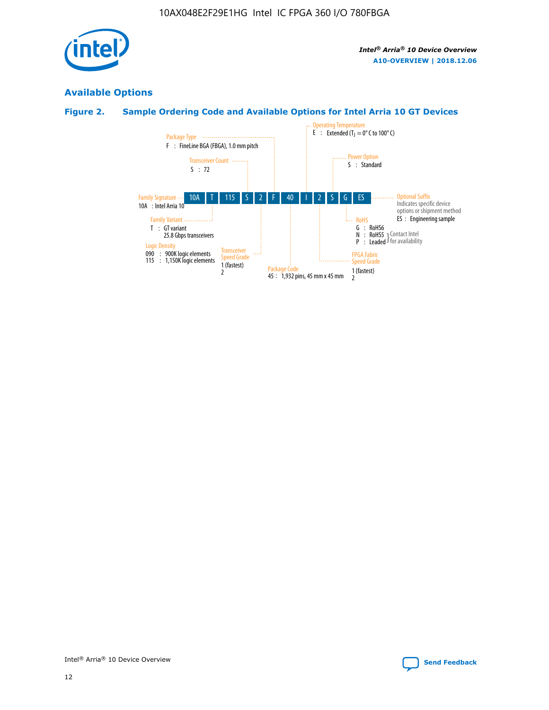

## **Available Options**

## **Figure 2. Sample Ordering Code and Available Options for Intel Arria 10 GT Devices**

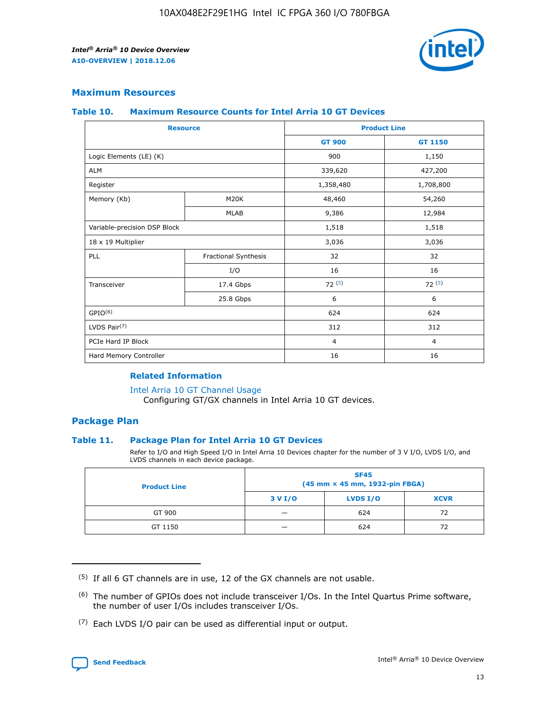

#### **Maximum Resources**

#### **Table 10. Maximum Resource Counts for Intel Arria 10 GT Devices**

| <b>Resource</b>              |                      |                | <b>Product Line</b> |  |
|------------------------------|----------------------|----------------|---------------------|--|
|                              |                      | <b>GT 900</b>  | <b>GT 1150</b>      |  |
| Logic Elements (LE) (K)      |                      | 900            | 1,150               |  |
| <b>ALM</b>                   |                      | 339,620        | 427,200             |  |
| Register                     |                      | 1,358,480      | 1,708,800           |  |
| Memory (Kb)                  | M20K                 | 48,460         | 54,260              |  |
|                              | <b>MLAB</b>          | 9,386          | 12,984              |  |
| Variable-precision DSP Block |                      | 1,518          | 1,518               |  |
| 18 x 19 Multiplier           |                      | 3,036          | 3,036               |  |
| <b>PLL</b>                   | Fractional Synthesis | 32             | 32                  |  |
|                              | I/O                  | 16             | 16                  |  |
| Transceiver                  | 17.4 Gbps            | 72(5)          | 72(5)               |  |
|                              | 25.8 Gbps            | 6              | 6                   |  |
| GPIO <sup>(6)</sup>          |                      | 624            | 624                 |  |
| LVDS Pair $(7)$              |                      | 312            | 312                 |  |
| PCIe Hard IP Block           |                      | $\overline{4}$ | $\overline{4}$      |  |
| Hard Memory Controller       |                      | 16             | 16                  |  |

#### **Related Information**

#### [Intel Arria 10 GT Channel Usage](https://www.intel.com/content/www/us/en/programmable/documentation/nik1398707230472.html#nik1398707008178)

Configuring GT/GX channels in Intel Arria 10 GT devices.

#### **Package Plan**

#### **Table 11. Package Plan for Intel Arria 10 GT Devices**

Refer to I/O and High Speed I/O in Intel Arria 10 Devices chapter for the number of 3 V I/O, LVDS I/O, and LVDS channels in each device package.

| <b>Product Line</b> | <b>SF45</b><br>(45 mm × 45 mm, 1932-pin FBGA) |                 |             |  |  |  |
|---------------------|-----------------------------------------------|-----------------|-------------|--|--|--|
|                     | 3 V I/O                                       | <b>LVDS I/O</b> | <b>XCVR</b> |  |  |  |
| GT 900              |                                               | 624             | 72          |  |  |  |
| GT 1150             |                                               | 624             | 72          |  |  |  |

<sup>(7)</sup> Each LVDS I/O pair can be used as differential input or output.



 $(5)$  If all 6 GT channels are in use, 12 of the GX channels are not usable.

<sup>(6)</sup> The number of GPIOs does not include transceiver I/Os. In the Intel Quartus Prime software, the number of user I/Os includes transceiver I/Os.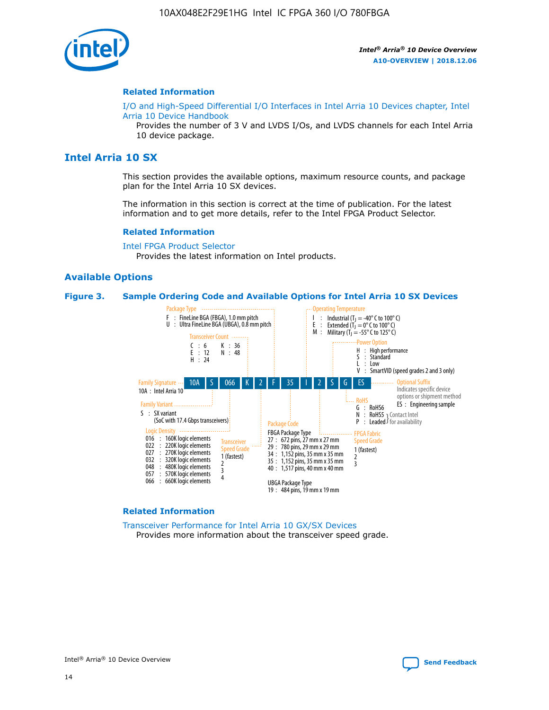

#### **Related Information**

[I/O and High-Speed Differential I/O Interfaces in Intel Arria 10 Devices chapter, Intel](https://www.intel.com/content/www/us/en/programmable/documentation/sam1403482614086.html#sam1403482030321) [Arria 10 Device Handbook](https://www.intel.com/content/www/us/en/programmable/documentation/sam1403482614086.html#sam1403482030321)

Provides the number of 3 V and LVDS I/Os, and LVDS channels for each Intel Arria 10 device package.

#### **Intel Arria 10 SX**

This section provides the available options, maximum resource counts, and package plan for the Intel Arria 10 SX devices.

The information in this section is correct at the time of publication. For the latest information and to get more details, refer to the Intel FPGA Product Selector.

#### **Related Information**

[Intel FPGA Product Selector](http://www.altera.com/products/selector/psg-selector.html) Provides the latest information on Intel products.

#### **Available Options**

#### **Figure 3. Sample Ordering Code and Available Options for Intel Arria 10 SX Devices**



#### **Related Information**

[Transceiver Performance for Intel Arria 10 GX/SX Devices](https://www.intel.com/content/www/us/en/programmable/documentation/mcn1413182292568.html#mcn1413213965502) Provides more information about the transceiver speed grade.

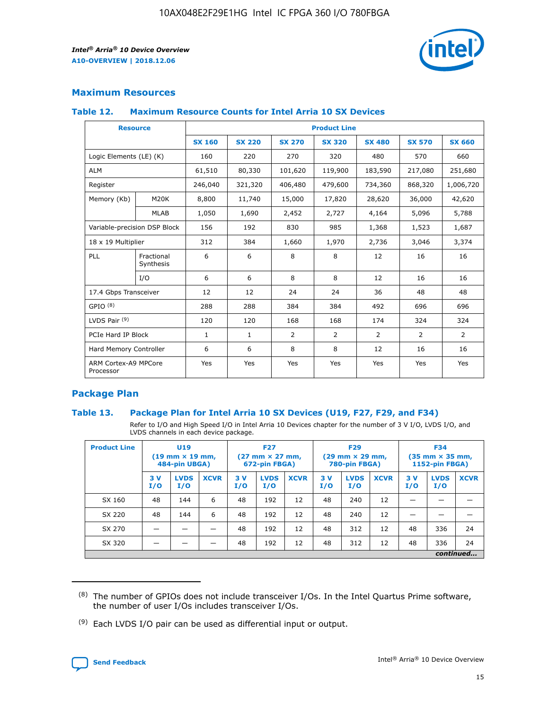

#### **Maximum Resources**

#### **Table 12. Maximum Resource Counts for Intel Arria 10 SX Devices**

|                                   | <b>Resource</b>         | <b>Product Line</b> |               |                |                |                |                |                |  |  |  |
|-----------------------------------|-------------------------|---------------------|---------------|----------------|----------------|----------------|----------------|----------------|--|--|--|
|                                   |                         | <b>SX 160</b>       | <b>SX 220</b> | <b>SX 270</b>  | <b>SX 320</b>  | <b>SX 480</b>  | <b>SX 570</b>  | <b>SX 660</b>  |  |  |  |
| Logic Elements (LE) (K)           |                         | 160                 | 220           | 270            | 320            | 480            | 570            | 660            |  |  |  |
| <b>ALM</b>                        |                         | 61,510              | 80,330        | 101,620        | 119,900        | 183,590        | 217,080        | 251,680        |  |  |  |
| Register                          |                         | 246,040             | 321,320       | 406,480        | 479,600        | 734,360        | 868,320        | 1,006,720      |  |  |  |
| Memory (Kb)                       | <b>M20K</b>             | 8,800               | 11,740        | 15,000         | 17,820         | 28,620         | 36,000         | 42,620         |  |  |  |
|                                   | <b>MLAB</b>             | 1,050               | 1,690         | 2,452          | 2,727          | 4,164          | 5,096          | 5,788          |  |  |  |
| Variable-precision DSP Block      |                         | 156                 | 192           | 830            | 985            | 1,368          | 1,523          | 1,687          |  |  |  |
|                                   | 18 x 19 Multiplier      |                     | 384           | 1,660          | 1,970          | 2,736          | 3,046          | 3,374          |  |  |  |
| <b>PLL</b>                        | Fractional<br>Synthesis | 6                   | 6             | 8              | 8              | 12             | 16             | 16             |  |  |  |
|                                   | I/O                     | 6                   | 6             | 8              | 8              | 12             | 16             | 16             |  |  |  |
| 17.4 Gbps Transceiver             |                         | 12                  | 12            | 24             | 24             | 36             | 48             | 48             |  |  |  |
| GPIO <sup>(8)</sup>               |                         | 288                 | 288           | 384            | 384            | 492            | 696            | 696            |  |  |  |
| LVDS Pair $(9)$                   |                         | 120                 | 120           | 168            | 168            | 174            | 324            | 324            |  |  |  |
| PCIe Hard IP Block                |                         | $\mathbf{1}$        | $\mathbf{1}$  | $\overline{2}$ | $\overline{2}$ | $\overline{2}$ | $\overline{2}$ | $\overline{2}$ |  |  |  |
| Hard Memory Controller            |                         | 6                   | 6             | 8              | 8              | 12             | 16             | 16             |  |  |  |
| ARM Cortex-A9 MPCore<br>Processor |                         | Yes                 | Yes           | Yes            | Yes            | Yes            | Yes            | Yes            |  |  |  |

#### **Package Plan**

#### **Table 13. Package Plan for Intel Arria 10 SX Devices (U19, F27, F29, and F34)**

Refer to I/O and High Speed I/O in Intel Arria 10 Devices chapter for the number of 3 V I/O, LVDS I/O, and LVDS channels in each device package.

| <b>Product Line</b> | <b>U19</b><br>$(19$ mm $\times$ 19 mm,<br>484-pin UBGA) |                    |             | <b>F27</b><br>$(27 \text{ mm} \times 27 \text{ mm})$<br>672-pin FBGA) |                    | <b>F29</b><br>$(29 \text{ mm} \times 29 \text{ mm})$<br>780-pin FBGA) |           |                    | <b>F34</b><br>$(35 \text{ mm} \times 35 \text{ mm})$<br><b>1152-pin FBGA)</b> |           |                    |             |
|---------------------|---------------------------------------------------------|--------------------|-------------|-----------------------------------------------------------------------|--------------------|-----------------------------------------------------------------------|-----------|--------------------|-------------------------------------------------------------------------------|-----------|--------------------|-------------|
|                     | 3V<br>I/O                                               | <b>LVDS</b><br>I/O | <b>XCVR</b> | 3V<br>I/O                                                             | <b>LVDS</b><br>I/O | <b>XCVR</b>                                                           | 3V<br>I/O | <b>LVDS</b><br>I/O | <b>XCVR</b>                                                                   | 3V<br>I/O | <b>LVDS</b><br>I/O | <b>XCVR</b> |
| SX 160              | 48                                                      | 144                | 6           | 48                                                                    | 192                | 12                                                                    | 48        | 240                | 12                                                                            | -         |                    |             |
| SX 220              | 48                                                      | 144                | 6           | 48                                                                    | 192                | 12                                                                    | 48        | 240                | 12                                                                            |           |                    |             |
| SX 270              |                                                         |                    |             | 48                                                                    | 192                | 12                                                                    | 48        | 312                | 12                                                                            | 48        | 336                | 24          |
| SX 320              |                                                         |                    |             | 48                                                                    | 192                | 12                                                                    | 48        | 312                | 12                                                                            | 48        | 336                | 24          |
|                     | continued                                               |                    |             |                                                                       |                    |                                                                       |           |                    |                                                                               |           |                    |             |

 $(8)$  The number of GPIOs does not include transceiver I/Os. In the Intel Quartus Prime software, the number of user I/Os includes transceiver I/Os.

 $(9)$  Each LVDS I/O pair can be used as differential input or output.

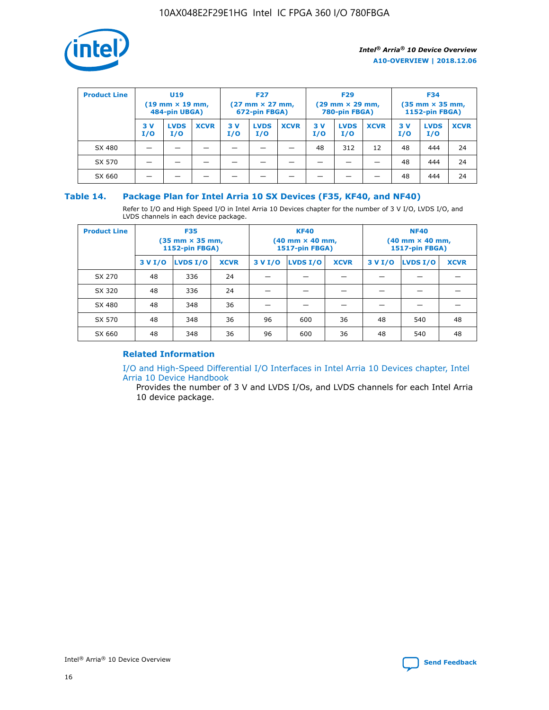

| <b>Product Line</b> | <b>U19</b><br>$(19 \text{ mm} \times 19 \text{ mm})$<br>484-pin UBGA) |                    | <b>F27</b><br>$(27 \text{ mm} \times 27 \text{ mm})$<br>672-pin FBGA) |           | <b>F29</b><br>$(29$ mm $\times$ 29 mm,<br>780-pin FBGA) |             |           | <b>F34</b><br>$(35$ mm $\times$ 35 mm,<br><b>1152-pin FBGA)</b> |             |           |                    |             |
|---------------------|-----------------------------------------------------------------------|--------------------|-----------------------------------------------------------------------|-----------|---------------------------------------------------------|-------------|-----------|-----------------------------------------------------------------|-------------|-----------|--------------------|-------------|
|                     | 3 V<br>I/O                                                            | <b>LVDS</b><br>I/O | <b>XCVR</b>                                                           | 3V<br>I/O | <b>LVDS</b><br>I/O                                      | <b>XCVR</b> | 3V<br>I/O | <b>LVDS</b><br>I/O                                              | <b>XCVR</b> | 3V<br>I/O | <b>LVDS</b><br>I/O | <b>XCVR</b> |
| SX 480              |                                                                       |                    |                                                                       |           |                                                         |             | 48        | 312                                                             | 12          | 48        | 444                | 24          |
| SX 570              |                                                                       |                    |                                                                       |           |                                                         |             |           |                                                                 |             | 48        | 444                | 24          |
| SX 660              |                                                                       |                    |                                                                       |           |                                                         |             |           |                                                                 |             | 48        | 444                | 24          |

#### **Table 14. Package Plan for Intel Arria 10 SX Devices (F35, KF40, and NF40)**

Refer to I/O and High Speed I/O in Intel Arria 10 Devices chapter for the number of 3 V I/O, LVDS I/O, and LVDS channels in each device package.

| <b>Product Line</b> | <b>F35</b><br>(35 mm × 35 mm,<br><b>1152-pin FBGA)</b> |          |             |                                           | <b>KF40</b><br>(40 mm × 40 mm,<br>1517-pin FBGA) |    | <b>NF40</b><br>$(40 \text{ mm} \times 40 \text{ mm})$<br>1517-pin FBGA) |          |             |  |
|---------------------|--------------------------------------------------------|----------|-------------|-------------------------------------------|--------------------------------------------------|----|-------------------------------------------------------------------------|----------|-------------|--|
|                     | 3 V I/O                                                | LVDS I/O | <b>XCVR</b> | <b>LVDS I/O</b><br>3 V I/O<br><b>XCVR</b> |                                                  |    | 3 V I/O                                                                 | LVDS I/O | <b>XCVR</b> |  |
| SX 270              | 48                                                     | 336      | 24          |                                           |                                                  |    |                                                                         |          |             |  |
| SX 320              | 48                                                     | 336      | 24          |                                           |                                                  |    |                                                                         |          |             |  |
| SX 480              | 48                                                     | 348      | 36          |                                           |                                                  |    |                                                                         |          |             |  |
| SX 570              | 48                                                     | 348      | 36          | 96                                        | 600                                              | 36 | 48                                                                      | 540      | 48          |  |
| SX 660              | 48                                                     | 348      | 36          | 96                                        | 600                                              | 36 | 48                                                                      | 540      | 48          |  |

#### **Related Information**

[I/O and High-Speed Differential I/O Interfaces in Intel Arria 10 Devices chapter, Intel](https://www.intel.com/content/www/us/en/programmable/documentation/sam1403482614086.html#sam1403482030321) [Arria 10 Device Handbook](https://www.intel.com/content/www/us/en/programmable/documentation/sam1403482614086.html#sam1403482030321)

Provides the number of 3 V and LVDS I/Os, and LVDS channels for each Intel Arria 10 device package.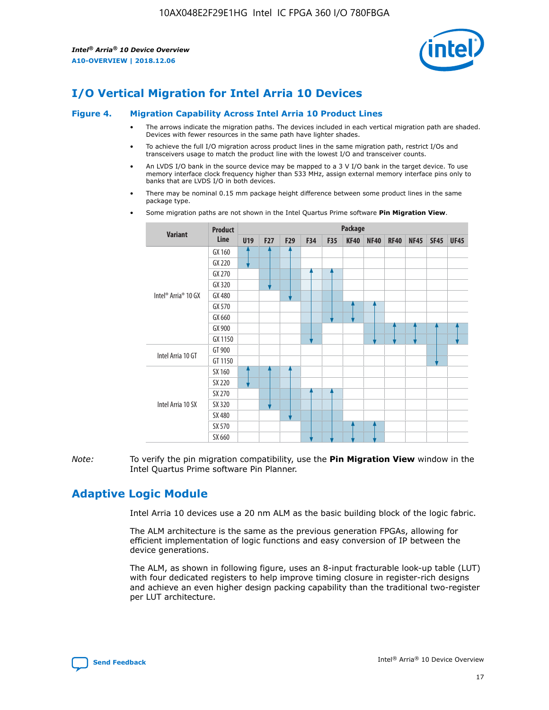

## **I/O Vertical Migration for Intel Arria 10 Devices**

#### **Figure 4. Migration Capability Across Intel Arria 10 Product Lines**

- The arrows indicate the migration paths. The devices included in each vertical migration path are shaded. Devices with fewer resources in the same path have lighter shades.
- To achieve the full I/O migration across product lines in the same migration path, restrict I/Os and transceivers usage to match the product line with the lowest I/O and transceiver counts.
- An LVDS I/O bank in the source device may be mapped to a 3 V I/O bank in the target device. To use memory interface clock frequency higher than 533 MHz, assign external memory interface pins only to banks that are LVDS I/O in both devices.
- There may be nominal 0.15 mm package height difference between some product lines in the same package type.
	- **Variant Product Line Package U19 F27 F29 F34 F35 KF40 NF40 RF40 NF45 SF45 UF45** Intel® Arria® 10 GX GX 160 GX 220 GX 270 GX 320 GX 480 GX 570 GX 660 GX 900 GX 1150 Intel Arria 10 GT GT 900 GT 1150 Intel Arria 10 SX SX 160 SX 220 SX 270 SX 320 SX 480 SX 570 SX 660
- Some migration paths are not shown in the Intel Quartus Prime software **Pin Migration View**.

*Note:* To verify the pin migration compatibility, use the **Pin Migration View** window in the Intel Quartus Prime software Pin Planner.

## **Adaptive Logic Module**

Intel Arria 10 devices use a 20 nm ALM as the basic building block of the logic fabric.

The ALM architecture is the same as the previous generation FPGAs, allowing for efficient implementation of logic functions and easy conversion of IP between the device generations.

The ALM, as shown in following figure, uses an 8-input fracturable look-up table (LUT) with four dedicated registers to help improve timing closure in register-rich designs and achieve an even higher design packing capability than the traditional two-register per LUT architecture.

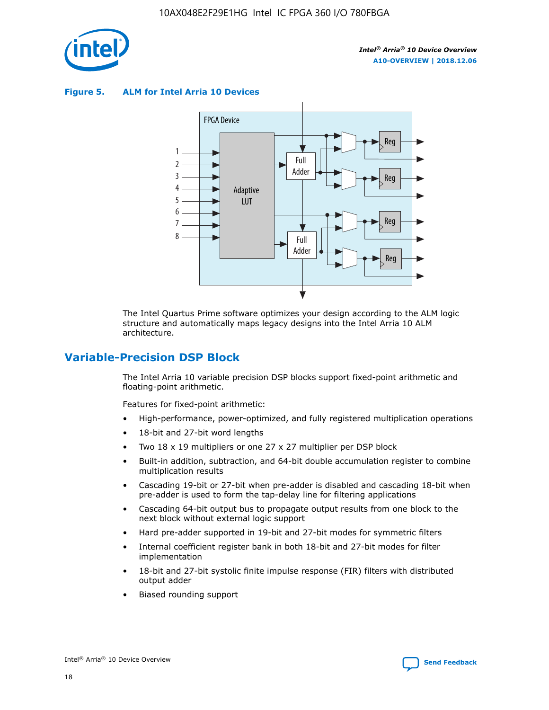

**Figure 5. ALM for Intel Arria 10 Devices**



The Intel Quartus Prime software optimizes your design according to the ALM logic structure and automatically maps legacy designs into the Intel Arria 10 ALM architecture.

## **Variable-Precision DSP Block**

The Intel Arria 10 variable precision DSP blocks support fixed-point arithmetic and floating-point arithmetic.

Features for fixed-point arithmetic:

- High-performance, power-optimized, and fully registered multiplication operations
- 18-bit and 27-bit word lengths
- Two 18 x 19 multipliers or one 27 x 27 multiplier per DSP block
- Built-in addition, subtraction, and 64-bit double accumulation register to combine multiplication results
- Cascading 19-bit or 27-bit when pre-adder is disabled and cascading 18-bit when pre-adder is used to form the tap-delay line for filtering applications
- Cascading 64-bit output bus to propagate output results from one block to the next block without external logic support
- Hard pre-adder supported in 19-bit and 27-bit modes for symmetric filters
- Internal coefficient register bank in both 18-bit and 27-bit modes for filter implementation
- 18-bit and 27-bit systolic finite impulse response (FIR) filters with distributed output adder
- Biased rounding support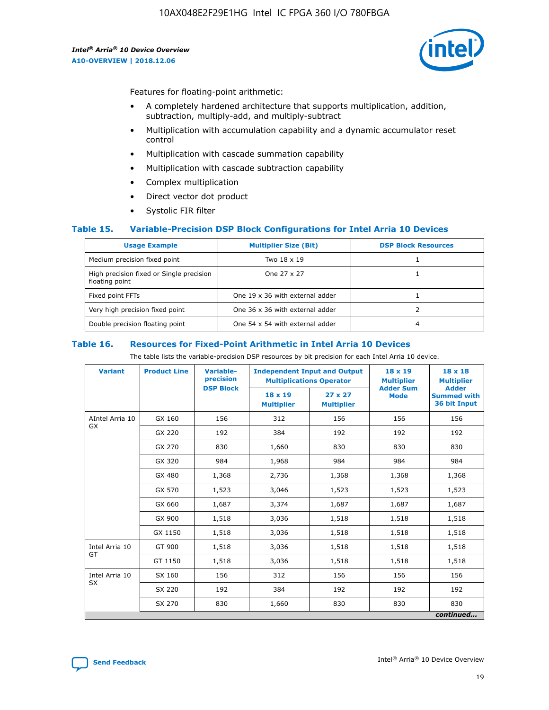

Features for floating-point arithmetic:

- A completely hardened architecture that supports multiplication, addition, subtraction, multiply-add, and multiply-subtract
- Multiplication with accumulation capability and a dynamic accumulator reset control
- Multiplication with cascade summation capability
- Multiplication with cascade subtraction capability
- Complex multiplication
- Direct vector dot product
- Systolic FIR filter

#### **Table 15. Variable-Precision DSP Block Configurations for Intel Arria 10 Devices**

| <b>Usage Example</b>                                       | <b>Multiplier Size (Bit)</b>    | <b>DSP Block Resources</b> |
|------------------------------------------------------------|---------------------------------|----------------------------|
| Medium precision fixed point                               | Two 18 x 19                     |                            |
| High precision fixed or Single precision<br>floating point | One 27 x 27                     |                            |
| Fixed point FFTs                                           | One 19 x 36 with external adder |                            |
| Very high precision fixed point                            | One 36 x 36 with external adder |                            |
| Double precision floating point                            | One 54 x 54 with external adder | 4                          |

#### **Table 16. Resources for Fixed-Point Arithmetic in Intel Arria 10 Devices**

The table lists the variable-precision DSP resources by bit precision for each Intel Arria 10 device.

| <b>Variant</b>  | <b>Product Line</b> | <b>Variable-</b><br>precision<br><b>DSP Block</b> | <b>Independent Input and Output</b><br><b>Multiplications Operator</b> |                                     | 18 x 19<br><b>Multiplier</b><br><b>Adder Sum</b> | $18 \times 18$<br><b>Multiplier</b><br><b>Adder</b> |
|-----------------|---------------------|---------------------------------------------------|------------------------------------------------------------------------|-------------------------------------|--------------------------------------------------|-----------------------------------------------------|
|                 |                     |                                                   | 18 x 19<br><b>Multiplier</b>                                           | $27 \times 27$<br><b>Multiplier</b> | <b>Mode</b>                                      | <b>Summed with</b><br>36 bit Input                  |
| AIntel Arria 10 | GX 160              | 156                                               | 312                                                                    | 156                                 | 156                                              | 156                                                 |
| GX              | GX 220              | 192                                               | 384                                                                    | 192                                 | 192                                              | 192                                                 |
|                 | GX 270              | 830                                               | 1,660                                                                  | 830                                 | 830                                              | 830                                                 |
|                 | GX 320              | 984                                               | 1,968                                                                  | 984                                 | 984                                              | 984                                                 |
|                 | GX 480              | 1,368                                             | 2,736                                                                  | 1,368                               | 1,368                                            | 1,368                                               |
|                 | GX 570              | 1,523                                             | 3,046                                                                  | 1,523                               | 1,523                                            | 1,523                                               |
|                 | GX 660              | 1,687                                             | 3,374                                                                  | 1,687                               | 1,687                                            | 1,687                                               |
|                 | GX 900              | 1,518                                             | 3,036                                                                  | 1,518                               | 1,518                                            | 1,518                                               |
|                 | GX 1150             | 1,518                                             | 3,036                                                                  | 1,518                               | 1,518                                            | 1,518                                               |
| Intel Arria 10  | GT 900              | 1,518                                             | 3,036                                                                  | 1,518                               | 1,518                                            | 1,518                                               |
| GT              | GT 1150             | 1,518                                             | 3,036                                                                  | 1,518                               | 1,518                                            | 1,518                                               |
| Intel Arria 10  | SX 160              | 156                                               | 312                                                                    | 156                                 | 156                                              | 156                                                 |
| <b>SX</b>       | SX 220              | 192                                               | 384                                                                    | 192                                 | 192                                              | 192                                                 |
|                 | SX 270              | 830                                               | 1,660                                                                  | 830                                 | 830                                              | 830                                                 |
|                 |                     |                                                   |                                                                        |                                     |                                                  | continued                                           |

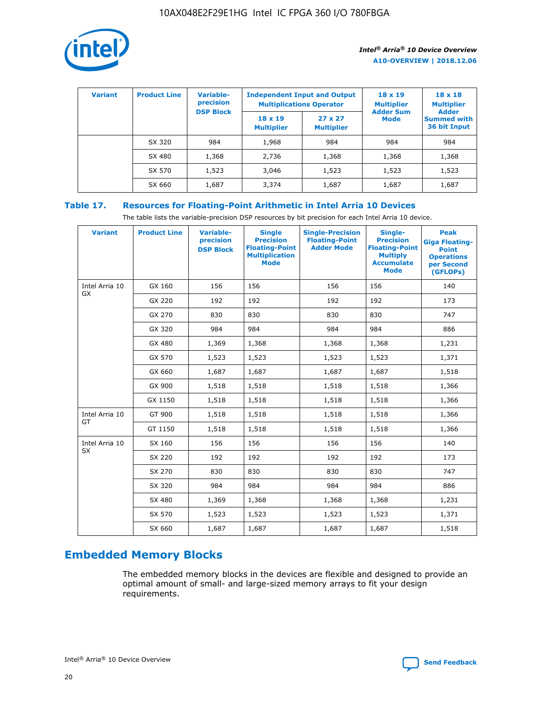

| <b>Variant</b> | <b>Product Line</b> | Variable-<br>precision | <b>Independent Input and Output</b><br><b>Multiplications Operator</b> |                                     | $18 \times 19$<br><b>Multiplier</b> | $18 \times 18$<br><b>Multiplier</b><br><b>Adder</b> |  |
|----------------|---------------------|------------------------|------------------------------------------------------------------------|-------------------------------------|-------------------------------------|-----------------------------------------------------|--|
|                |                     | <b>DSP Block</b>       | $18 \times 19$<br><b>Multiplier</b>                                    | $27 \times 27$<br><b>Multiplier</b> | <b>Adder Sum</b><br><b>Mode</b>     | <b>Summed with</b><br>36 bit Input                  |  |
|                | SX 320              | 984                    | 1,968                                                                  | 984                                 | 984                                 | 984                                                 |  |
|                | SX 480              | 1,368                  | 2,736                                                                  | 1,368                               | 1,368                               | 1,368                                               |  |
|                | SX 570              | 1,523                  | 3,046                                                                  | 1,523                               | 1,523                               | 1,523                                               |  |
|                | SX 660              | 1,687                  | 3,374                                                                  | 1,687                               | 1,687                               | 1,687                                               |  |

## **Table 17. Resources for Floating-Point Arithmetic in Intel Arria 10 Devices**

The table lists the variable-precision DSP resources by bit precision for each Intel Arria 10 device.

| <b>Variant</b> | <b>Product Line</b> | <b>Variable-</b><br>precision<br><b>DSP Block</b> | <b>Single</b><br><b>Precision</b><br><b>Floating-Point</b><br><b>Multiplication</b><br><b>Mode</b> | <b>Single-Precision</b><br><b>Floating-Point</b><br><b>Adder Mode</b> | Single-<br><b>Precision</b><br><b>Floating-Point</b><br><b>Multiply</b><br><b>Accumulate</b><br><b>Mode</b> | <b>Peak</b><br><b>Giga Floating-</b><br><b>Point</b><br><b>Operations</b><br>per Second<br>(GFLOPs) |
|----------------|---------------------|---------------------------------------------------|----------------------------------------------------------------------------------------------------|-----------------------------------------------------------------------|-------------------------------------------------------------------------------------------------------------|-----------------------------------------------------------------------------------------------------|
| Intel Arria 10 | GX 160              | 156                                               | 156                                                                                                | 156                                                                   | 156                                                                                                         | 140                                                                                                 |
| <b>GX</b>      | GX 220              | 192                                               | 192                                                                                                | 192                                                                   | 192                                                                                                         | 173                                                                                                 |
|                | GX 270              | 830                                               | 830                                                                                                | 830                                                                   | 830                                                                                                         | 747                                                                                                 |
|                | GX 320              | 984                                               | 984                                                                                                | 984                                                                   | 984                                                                                                         | 886                                                                                                 |
|                | GX 480              | 1,369                                             | 1,368                                                                                              | 1,368                                                                 | 1,368                                                                                                       | 1,231                                                                                               |
|                | GX 570              | 1,523                                             | 1,523                                                                                              | 1,523                                                                 | 1,523                                                                                                       | 1,371                                                                                               |
|                | GX 660              | 1,687                                             | 1,687                                                                                              | 1,687                                                                 | 1,687                                                                                                       | 1,518                                                                                               |
|                | GX 900              | 1,518                                             | 1,518                                                                                              | 1,518                                                                 | 1,518                                                                                                       | 1,366                                                                                               |
|                | GX 1150             | 1,518                                             | 1,518                                                                                              | 1,518                                                                 | 1,518                                                                                                       | 1,366                                                                                               |
| Intel Arria 10 | GT 900              | 1,518                                             | 1,518                                                                                              | 1,518                                                                 | 1,518                                                                                                       | 1,366                                                                                               |
| GT             | GT 1150             | 1,518                                             | 1,518                                                                                              | 1,518                                                                 | 1,518                                                                                                       | 1,366                                                                                               |
| Intel Arria 10 | SX 160              | 156                                               | 156                                                                                                | 156                                                                   | 156                                                                                                         | 140                                                                                                 |
| SX             | SX 220              | 192                                               | 192                                                                                                | 192                                                                   | 192                                                                                                         | 173                                                                                                 |
|                | SX 270              | 830                                               | 830                                                                                                | 830                                                                   | 830                                                                                                         | 747                                                                                                 |
|                | SX 320              | 984                                               | 984                                                                                                | 984                                                                   | 984                                                                                                         | 886                                                                                                 |
|                | SX 480              | 1,369                                             | 1,368                                                                                              | 1,368                                                                 | 1,368                                                                                                       | 1,231                                                                                               |
|                | SX 570              | 1,523                                             | 1,523                                                                                              | 1,523                                                                 | 1,523                                                                                                       | 1,371                                                                                               |
|                | SX 660              | 1,687                                             | 1,687                                                                                              | 1,687                                                                 | 1,687                                                                                                       | 1,518                                                                                               |

## **Embedded Memory Blocks**

The embedded memory blocks in the devices are flexible and designed to provide an optimal amount of small- and large-sized memory arrays to fit your design requirements.

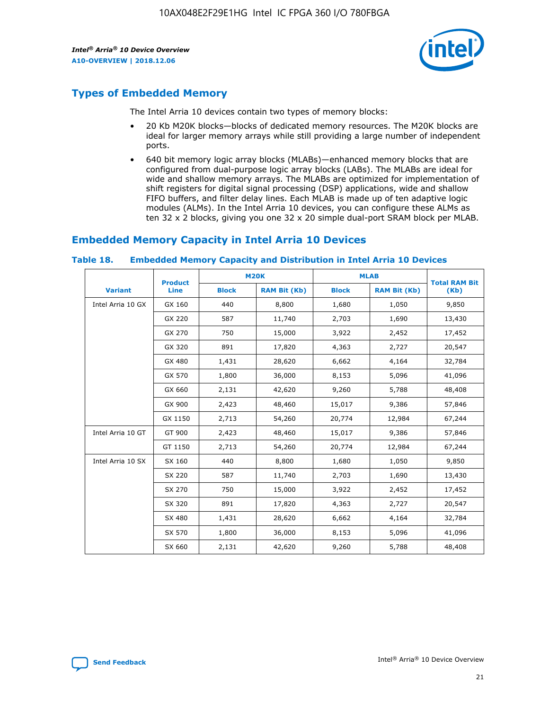

## **Types of Embedded Memory**

The Intel Arria 10 devices contain two types of memory blocks:

- 20 Kb M20K blocks—blocks of dedicated memory resources. The M20K blocks are ideal for larger memory arrays while still providing a large number of independent ports.
- 640 bit memory logic array blocks (MLABs)—enhanced memory blocks that are configured from dual-purpose logic array blocks (LABs). The MLABs are ideal for wide and shallow memory arrays. The MLABs are optimized for implementation of shift registers for digital signal processing (DSP) applications, wide and shallow FIFO buffers, and filter delay lines. Each MLAB is made up of ten adaptive logic modules (ALMs). In the Intel Arria 10 devices, you can configure these ALMs as ten 32 x 2 blocks, giving you one 32 x 20 simple dual-port SRAM block per MLAB.

## **Embedded Memory Capacity in Intel Arria 10 Devices**

|                   | <b>Product</b> |              | <b>M20K</b>         | <b>MLAB</b>  |                     | <b>Total RAM Bit</b> |
|-------------------|----------------|--------------|---------------------|--------------|---------------------|----------------------|
| <b>Variant</b>    | <b>Line</b>    | <b>Block</b> | <b>RAM Bit (Kb)</b> | <b>Block</b> | <b>RAM Bit (Kb)</b> | (Kb)                 |
| Intel Arria 10 GX | GX 160         | 440          | 8,800               | 1,680        | 1,050               | 9,850                |
|                   | GX 220         | 587          | 11,740              | 2,703        | 1,690               | 13,430               |
|                   | GX 270         | 750          | 15,000              | 3,922        | 2,452               | 17,452               |
|                   | GX 320         | 891          | 17,820              | 4,363        | 2,727               | 20,547               |
|                   | GX 480         | 1,431        | 28,620              | 6,662        | 4,164               | 32,784               |
|                   | GX 570         | 1,800        | 36,000              | 8,153        | 5,096               | 41,096               |
|                   | GX 660         | 2,131        | 42,620              | 9,260        | 5,788               | 48,408               |
|                   | GX 900         | 2,423        | 48,460              | 15,017       | 9,386               | 57,846               |
|                   | GX 1150        | 2,713        | 54,260              | 20,774       | 12,984              | 67,244               |
| Intel Arria 10 GT | GT 900         | 2,423        | 48,460              | 15,017       | 9,386               | 57,846               |
|                   | GT 1150        | 2,713        | 54,260              | 20,774       | 12,984              | 67,244               |
| Intel Arria 10 SX | SX 160         | 440          | 8,800               | 1,680        | 1,050               | 9,850                |
|                   | SX 220         | 587          | 11,740              | 2,703        | 1,690               | 13,430               |
|                   | SX 270         | 750          | 15,000              | 3,922        | 2,452               | 17,452               |
|                   | SX 320         | 891          | 17,820              | 4,363        | 2,727               | 20,547               |
|                   | SX 480         | 1,431        | 28,620              | 6,662        | 4,164               | 32,784               |
|                   | SX 570         | 1,800        | 36,000              | 8,153        | 5,096               | 41,096               |
|                   | SX 660         | 2,131        | 42,620              | 9,260        | 5,788               | 48,408               |

#### **Table 18. Embedded Memory Capacity and Distribution in Intel Arria 10 Devices**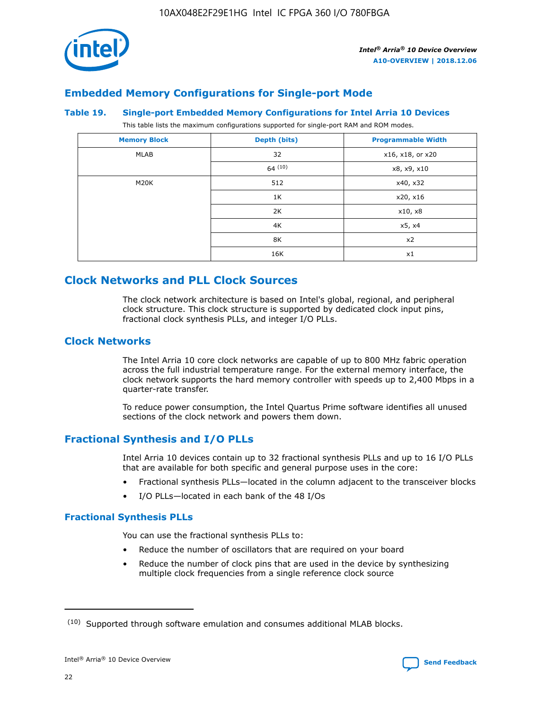

## **Embedded Memory Configurations for Single-port Mode**

#### **Table 19. Single-port Embedded Memory Configurations for Intel Arria 10 Devices**

This table lists the maximum configurations supported for single-port RAM and ROM modes.

| <b>Memory Block</b> | Depth (bits) | <b>Programmable Width</b> |
|---------------------|--------------|---------------------------|
| MLAB                | 32           | x16, x18, or x20          |
|                     | 64(10)       | x8, x9, x10               |
| M20K                | 512          | x40, x32                  |
|                     | 1K           | x20, x16                  |
|                     | 2K           | x10, x8                   |
|                     | 4K           | x5, x4                    |
|                     | 8K           | x2                        |
|                     | 16K          | x1                        |

## **Clock Networks and PLL Clock Sources**

The clock network architecture is based on Intel's global, regional, and peripheral clock structure. This clock structure is supported by dedicated clock input pins, fractional clock synthesis PLLs, and integer I/O PLLs.

#### **Clock Networks**

The Intel Arria 10 core clock networks are capable of up to 800 MHz fabric operation across the full industrial temperature range. For the external memory interface, the clock network supports the hard memory controller with speeds up to 2,400 Mbps in a quarter-rate transfer.

To reduce power consumption, the Intel Quartus Prime software identifies all unused sections of the clock network and powers them down.

## **Fractional Synthesis and I/O PLLs**

Intel Arria 10 devices contain up to 32 fractional synthesis PLLs and up to 16 I/O PLLs that are available for both specific and general purpose uses in the core:

- Fractional synthesis PLLs—located in the column adjacent to the transceiver blocks
- I/O PLLs—located in each bank of the 48 I/Os

#### **Fractional Synthesis PLLs**

You can use the fractional synthesis PLLs to:

- Reduce the number of oscillators that are required on your board
- Reduce the number of clock pins that are used in the device by synthesizing multiple clock frequencies from a single reference clock source

<sup>(10)</sup> Supported through software emulation and consumes additional MLAB blocks.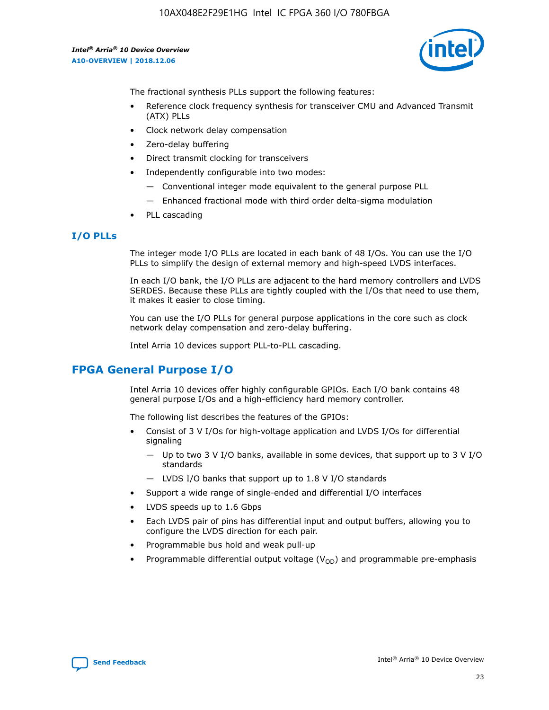10AX048E2F29E1HG Intel IC FPGA 360 I/O 780FBGA

*Intel® Arria® 10 Device Overview* **A10-OVERVIEW | 2018.12.06**



The fractional synthesis PLLs support the following features:

- Reference clock frequency synthesis for transceiver CMU and Advanced Transmit (ATX) PLLs
- Clock network delay compensation
- Zero-delay buffering
- Direct transmit clocking for transceivers
- Independently configurable into two modes:
	- Conventional integer mode equivalent to the general purpose PLL
	- Enhanced fractional mode with third order delta-sigma modulation
- PLL cascading

#### **I/O PLLs**

The integer mode I/O PLLs are located in each bank of 48 I/Os. You can use the I/O PLLs to simplify the design of external memory and high-speed LVDS interfaces.

In each I/O bank, the I/O PLLs are adjacent to the hard memory controllers and LVDS SERDES. Because these PLLs are tightly coupled with the I/Os that need to use them, it makes it easier to close timing.

You can use the I/O PLLs for general purpose applications in the core such as clock network delay compensation and zero-delay buffering.

Intel Arria 10 devices support PLL-to-PLL cascading.

## **FPGA General Purpose I/O**

Intel Arria 10 devices offer highly configurable GPIOs. Each I/O bank contains 48 general purpose I/Os and a high-efficiency hard memory controller.

The following list describes the features of the GPIOs:

- Consist of 3 V I/Os for high-voltage application and LVDS I/Os for differential signaling
	- Up to two 3 V I/O banks, available in some devices, that support up to 3 V I/O standards
	- LVDS I/O banks that support up to 1.8 V I/O standards
- Support a wide range of single-ended and differential I/O interfaces
- LVDS speeds up to 1.6 Gbps
- Each LVDS pair of pins has differential input and output buffers, allowing you to configure the LVDS direction for each pair.
- Programmable bus hold and weak pull-up
- Programmable differential output voltage  $(V_{OD})$  and programmable pre-emphasis

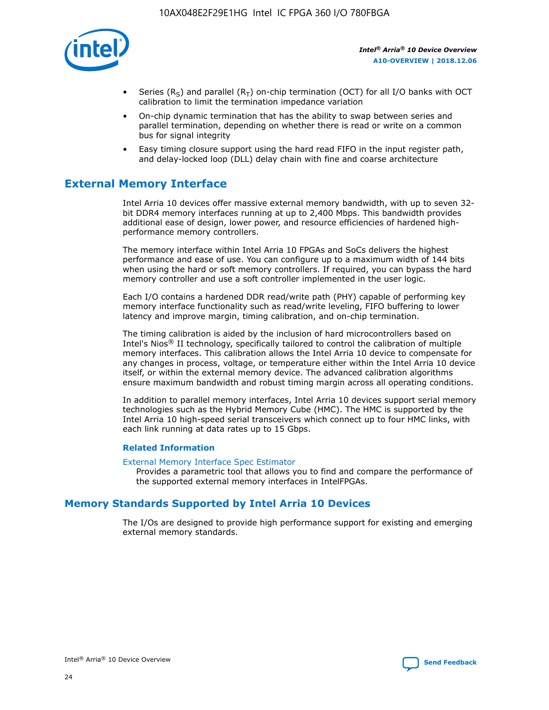

- Series (R<sub>S</sub>) and parallel (R<sub>T</sub>) on-chip termination (OCT) for all I/O banks with OCT calibration to limit the termination impedance variation
- On-chip dynamic termination that has the ability to swap between series and parallel termination, depending on whether there is read or write on a common bus for signal integrity
- Easy timing closure support using the hard read FIFO in the input register path, and delay-locked loop (DLL) delay chain with fine and coarse architecture

## **External Memory Interface**

Intel Arria 10 devices offer massive external memory bandwidth, with up to seven 32 bit DDR4 memory interfaces running at up to 2,400 Mbps. This bandwidth provides additional ease of design, lower power, and resource efficiencies of hardened highperformance memory controllers.

The memory interface within Intel Arria 10 FPGAs and SoCs delivers the highest performance and ease of use. You can configure up to a maximum width of 144 bits when using the hard or soft memory controllers. If required, you can bypass the hard memory controller and use a soft controller implemented in the user logic.

Each I/O contains a hardened DDR read/write path (PHY) capable of performing key memory interface functionality such as read/write leveling, FIFO buffering to lower latency and improve margin, timing calibration, and on-chip termination.

The timing calibration is aided by the inclusion of hard microcontrollers based on Intel's Nios® II technology, specifically tailored to control the calibration of multiple memory interfaces. This calibration allows the Intel Arria 10 device to compensate for any changes in process, voltage, or temperature either within the Intel Arria 10 device itself, or within the external memory device. The advanced calibration algorithms ensure maximum bandwidth and robust timing margin across all operating conditions.

In addition to parallel memory interfaces, Intel Arria 10 devices support serial memory technologies such as the Hybrid Memory Cube (HMC). The HMC is supported by the Intel Arria 10 high-speed serial transceivers which connect up to four HMC links, with each link running at data rates up to 15 Gbps.

#### **Related Information**

#### [External Memory Interface Spec Estimator](http://www.altera.com/technology/memory/estimator/mem-emif-index.html)

Provides a parametric tool that allows you to find and compare the performance of the supported external memory interfaces in IntelFPGAs.

## **Memory Standards Supported by Intel Arria 10 Devices**

The I/Os are designed to provide high performance support for existing and emerging external memory standards.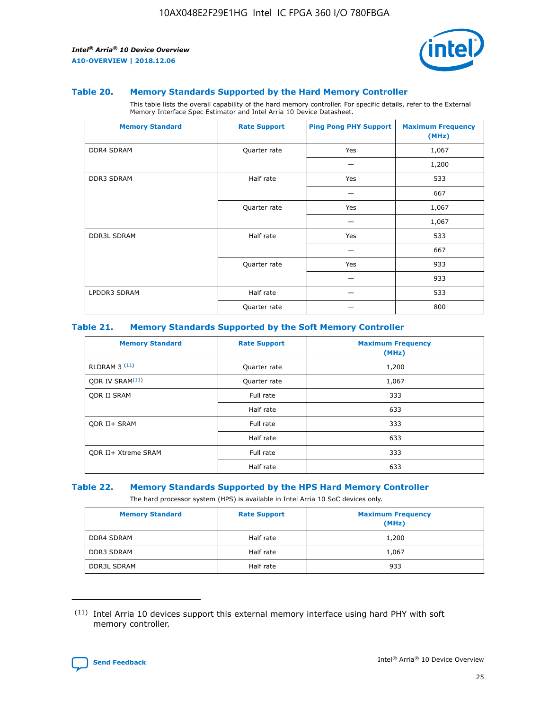

#### **Table 20. Memory Standards Supported by the Hard Memory Controller**

This table lists the overall capability of the hard memory controller. For specific details, refer to the External Memory Interface Spec Estimator and Intel Arria 10 Device Datasheet.

| <b>Memory Standard</b> | <b>Rate Support</b> | <b>Ping Pong PHY Support</b> | <b>Maximum Frequency</b><br>(MHz) |
|------------------------|---------------------|------------------------------|-----------------------------------|
| <b>DDR4 SDRAM</b>      | Quarter rate        | Yes                          | 1,067                             |
|                        |                     |                              | 1,200                             |
| DDR3 SDRAM             | Half rate           | Yes                          | 533                               |
|                        |                     |                              | 667                               |
|                        | Quarter rate        | Yes                          | 1,067                             |
|                        |                     |                              | 1,067                             |
| <b>DDR3L SDRAM</b>     | Half rate           | Yes                          | 533                               |
|                        |                     |                              | 667                               |
|                        | Quarter rate        | Yes                          | 933                               |
|                        |                     |                              | 933                               |
| LPDDR3 SDRAM           | Half rate           |                              | 533                               |
|                        | Quarter rate        |                              | 800                               |

#### **Table 21. Memory Standards Supported by the Soft Memory Controller**

| <b>Memory Standard</b>      | <b>Rate Support</b> | <b>Maximum Frequency</b><br>(MHz) |
|-----------------------------|---------------------|-----------------------------------|
| <b>RLDRAM 3 (11)</b>        | Quarter rate        | 1,200                             |
| QDR IV SRAM <sup>(11)</sup> | Quarter rate        | 1,067                             |
| <b>ODR II SRAM</b>          | Full rate           | 333                               |
|                             | Half rate           | 633                               |
| <b>ODR II+ SRAM</b>         | Full rate           | 333                               |
|                             | Half rate           | 633                               |
| <b>QDR II+ Xtreme SRAM</b>  | Full rate           | 333                               |
|                             | Half rate           | 633                               |

#### **Table 22. Memory Standards Supported by the HPS Hard Memory Controller**

The hard processor system (HPS) is available in Intel Arria 10 SoC devices only.

| <b>Memory Standard</b> | <b>Rate Support</b> | <b>Maximum Frequency</b><br>(MHz) |
|------------------------|---------------------|-----------------------------------|
| <b>DDR4 SDRAM</b>      | Half rate           | 1,200                             |
| <b>DDR3 SDRAM</b>      | Half rate           | 1,067                             |
| <b>DDR3L SDRAM</b>     | Half rate           | 933                               |

<sup>(11)</sup> Intel Arria 10 devices support this external memory interface using hard PHY with soft memory controller.

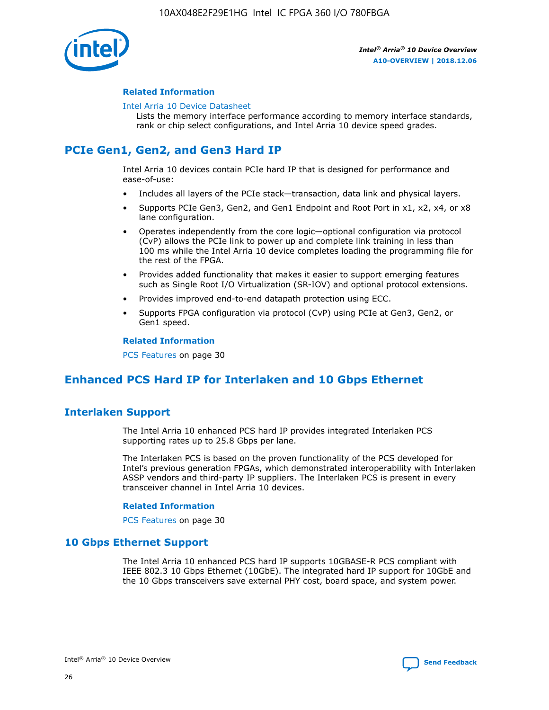

#### **Related Information**

#### [Intel Arria 10 Device Datasheet](https://www.intel.com/content/www/us/en/programmable/documentation/mcn1413182292568.html#mcn1413182153340)

Lists the memory interface performance according to memory interface standards, rank or chip select configurations, and Intel Arria 10 device speed grades.

## **PCIe Gen1, Gen2, and Gen3 Hard IP**

Intel Arria 10 devices contain PCIe hard IP that is designed for performance and ease-of-use:

- Includes all layers of the PCIe stack—transaction, data link and physical layers.
- Supports PCIe Gen3, Gen2, and Gen1 Endpoint and Root Port in x1, x2, x4, or x8 lane configuration.
- Operates independently from the core logic—optional configuration via protocol (CvP) allows the PCIe link to power up and complete link training in less than 100 ms while the Intel Arria 10 device completes loading the programming file for the rest of the FPGA.
- Provides added functionality that makes it easier to support emerging features such as Single Root I/O Virtualization (SR-IOV) and optional protocol extensions.
- Provides improved end-to-end datapath protection using ECC.
- Supports FPGA configuration via protocol (CvP) using PCIe at Gen3, Gen2, or Gen1 speed.

#### **Related Information**

PCS Features on page 30

## **Enhanced PCS Hard IP for Interlaken and 10 Gbps Ethernet**

## **Interlaken Support**

The Intel Arria 10 enhanced PCS hard IP provides integrated Interlaken PCS supporting rates up to 25.8 Gbps per lane.

The Interlaken PCS is based on the proven functionality of the PCS developed for Intel's previous generation FPGAs, which demonstrated interoperability with Interlaken ASSP vendors and third-party IP suppliers. The Interlaken PCS is present in every transceiver channel in Intel Arria 10 devices.

#### **Related Information**

PCS Features on page 30

#### **10 Gbps Ethernet Support**

The Intel Arria 10 enhanced PCS hard IP supports 10GBASE-R PCS compliant with IEEE 802.3 10 Gbps Ethernet (10GbE). The integrated hard IP support for 10GbE and the 10 Gbps transceivers save external PHY cost, board space, and system power.

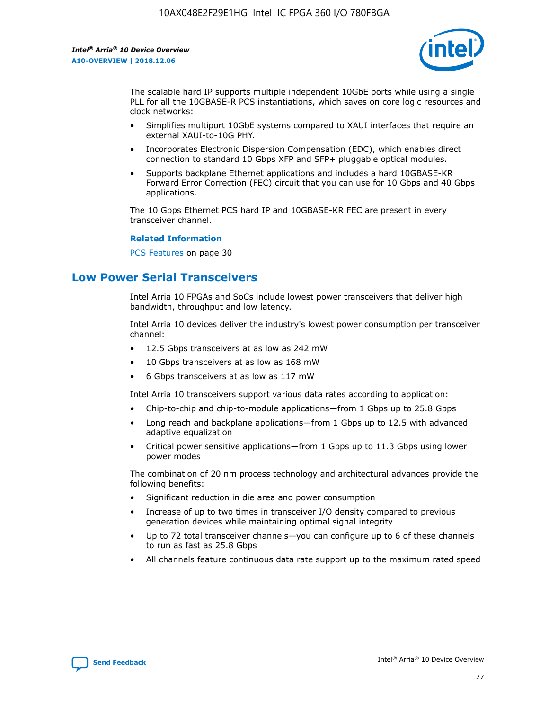

The scalable hard IP supports multiple independent 10GbE ports while using a single PLL for all the 10GBASE-R PCS instantiations, which saves on core logic resources and clock networks:

- Simplifies multiport 10GbE systems compared to XAUI interfaces that require an external XAUI-to-10G PHY.
- Incorporates Electronic Dispersion Compensation (EDC), which enables direct connection to standard 10 Gbps XFP and SFP+ pluggable optical modules.
- Supports backplane Ethernet applications and includes a hard 10GBASE-KR Forward Error Correction (FEC) circuit that you can use for 10 Gbps and 40 Gbps applications.

The 10 Gbps Ethernet PCS hard IP and 10GBASE-KR FEC are present in every transceiver channel.

#### **Related Information**

PCS Features on page 30

## **Low Power Serial Transceivers**

Intel Arria 10 FPGAs and SoCs include lowest power transceivers that deliver high bandwidth, throughput and low latency.

Intel Arria 10 devices deliver the industry's lowest power consumption per transceiver channel:

- 12.5 Gbps transceivers at as low as 242 mW
- 10 Gbps transceivers at as low as 168 mW
- 6 Gbps transceivers at as low as 117 mW

Intel Arria 10 transceivers support various data rates according to application:

- Chip-to-chip and chip-to-module applications—from 1 Gbps up to 25.8 Gbps
- Long reach and backplane applications—from 1 Gbps up to 12.5 with advanced adaptive equalization
- Critical power sensitive applications—from 1 Gbps up to 11.3 Gbps using lower power modes

The combination of 20 nm process technology and architectural advances provide the following benefits:

- Significant reduction in die area and power consumption
- Increase of up to two times in transceiver I/O density compared to previous generation devices while maintaining optimal signal integrity
- Up to 72 total transceiver channels—you can configure up to 6 of these channels to run as fast as 25.8 Gbps
- All channels feature continuous data rate support up to the maximum rated speed

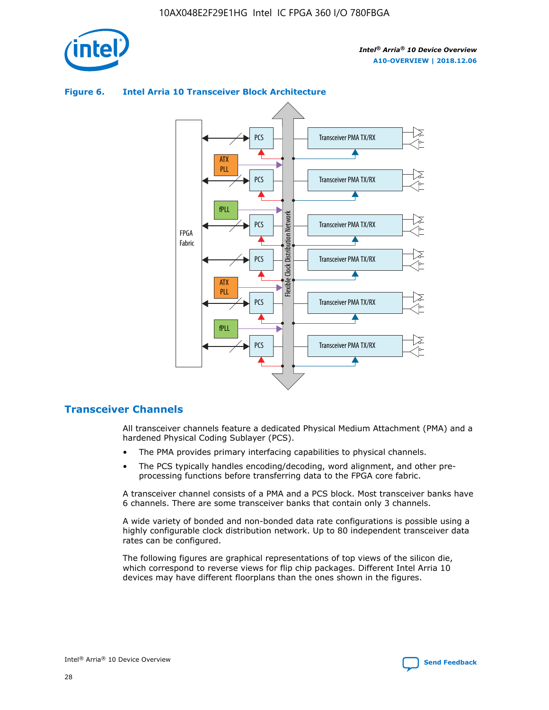

#### Transceiver PMA TX/RX PCS ATX PLL Transceiver PMA TX/RX PCS fPLL Network Flexible Clock Distribution Network PCS Transceiver PMA TX/RX FPGA **Clock Distribution** Fabric PCS Transceiver PMA TX/RX ATX Flexible PLL PCS Transceiver PMA TX/RX ▲ fPLL Transceiver PMA TX/RX PCS 4

#### **Figure 6. Intel Arria 10 Transceiver Block Architecture**

#### **Transceiver Channels**

All transceiver channels feature a dedicated Physical Medium Attachment (PMA) and a hardened Physical Coding Sublayer (PCS).

- The PMA provides primary interfacing capabilities to physical channels.
- The PCS typically handles encoding/decoding, word alignment, and other preprocessing functions before transferring data to the FPGA core fabric.

A transceiver channel consists of a PMA and a PCS block. Most transceiver banks have 6 channels. There are some transceiver banks that contain only 3 channels.

A wide variety of bonded and non-bonded data rate configurations is possible using a highly configurable clock distribution network. Up to 80 independent transceiver data rates can be configured.

The following figures are graphical representations of top views of the silicon die, which correspond to reverse views for flip chip packages. Different Intel Arria 10 devices may have different floorplans than the ones shown in the figures.

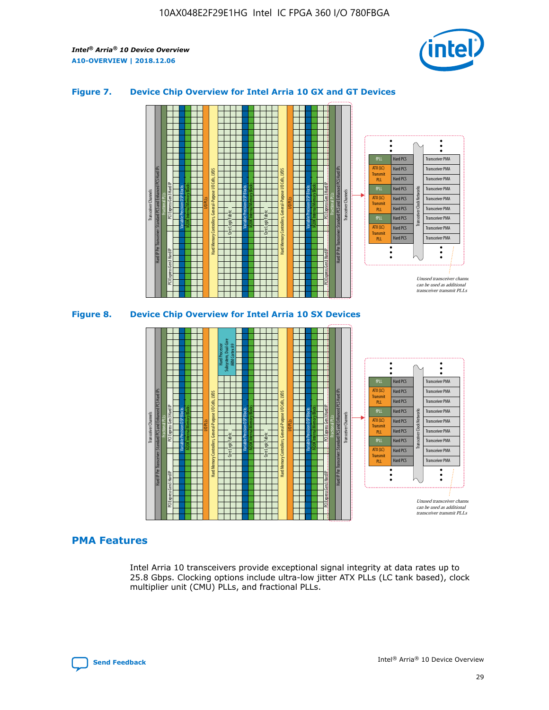

#### **Figure 7. Device Chip Overview for Intel Arria 10 GX and GT Devices**





#### **PMA Features**

Intel Arria 10 transceivers provide exceptional signal integrity at data rates up to 25.8 Gbps. Clocking options include ultra-low jitter ATX PLLs (LC tank based), clock multiplier unit (CMU) PLLs, and fractional PLLs.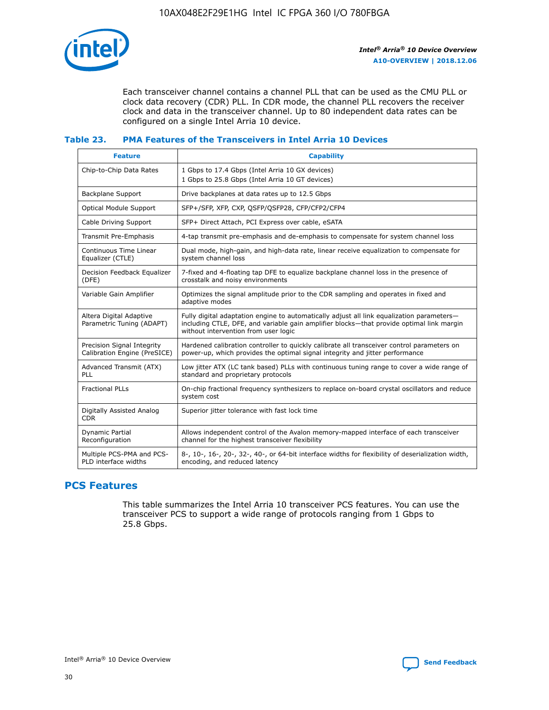

Each transceiver channel contains a channel PLL that can be used as the CMU PLL or clock data recovery (CDR) PLL. In CDR mode, the channel PLL recovers the receiver clock and data in the transceiver channel. Up to 80 independent data rates can be configured on a single Intel Arria 10 device.

#### **Table 23. PMA Features of the Transceivers in Intel Arria 10 Devices**

| <b>Feature</b>                                             | <b>Capability</b>                                                                                                                                                                                                             |
|------------------------------------------------------------|-------------------------------------------------------------------------------------------------------------------------------------------------------------------------------------------------------------------------------|
| Chip-to-Chip Data Rates                                    | 1 Gbps to 17.4 Gbps (Intel Arria 10 GX devices)<br>1 Gbps to 25.8 Gbps (Intel Arria 10 GT devices)                                                                                                                            |
| <b>Backplane Support</b>                                   | Drive backplanes at data rates up to 12.5 Gbps                                                                                                                                                                                |
| <b>Optical Module Support</b>                              | SFP+/SFP, XFP, CXP, QSFP/QSFP28, CFP/CFP2/CFP4                                                                                                                                                                                |
| Cable Driving Support                                      | SFP+ Direct Attach, PCI Express over cable, eSATA                                                                                                                                                                             |
| Transmit Pre-Emphasis                                      | 4-tap transmit pre-emphasis and de-emphasis to compensate for system channel loss                                                                                                                                             |
| Continuous Time Linear<br>Equalizer (CTLE)                 | Dual mode, high-gain, and high-data rate, linear receive equalization to compensate for<br>system channel loss                                                                                                                |
| Decision Feedback Equalizer<br>(DFE)                       | 7-fixed and 4-floating tap DFE to equalize backplane channel loss in the presence of<br>crosstalk and noisy environments                                                                                                      |
| Variable Gain Amplifier                                    | Optimizes the signal amplitude prior to the CDR sampling and operates in fixed and<br>adaptive modes                                                                                                                          |
| Altera Digital Adaptive<br>Parametric Tuning (ADAPT)       | Fully digital adaptation engine to automatically adjust all link equalization parameters-<br>including CTLE, DFE, and variable gain amplifier blocks—that provide optimal link margin<br>without intervention from user logic |
| Precision Signal Integrity<br>Calibration Engine (PreSICE) | Hardened calibration controller to quickly calibrate all transceiver control parameters on<br>power-up, which provides the optimal signal integrity and jitter performance                                                    |
| Advanced Transmit (ATX)<br>PLL                             | Low jitter ATX (LC tank based) PLLs with continuous tuning range to cover a wide range of<br>standard and proprietary protocols                                                                                               |
| <b>Fractional PLLs</b>                                     | On-chip fractional frequency synthesizers to replace on-board crystal oscillators and reduce<br>system cost                                                                                                                   |
| Digitally Assisted Analog<br><b>CDR</b>                    | Superior jitter tolerance with fast lock time                                                                                                                                                                                 |
| Dynamic Partial<br>Reconfiguration                         | Allows independent control of the Avalon memory-mapped interface of each transceiver<br>channel for the highest transceiver flexibility                                                                                       |
| Multiple PCS-PMA and PCS-<br>PLD interface widths          | 8-, 10-, 16-, 20-, 32-, 40-, or 64-bit interface widths for flexibility of deserialization width,<br>encoding, and reduced latency                                                                                            |

## **PCS Features**

This table summarizes the Intel Arria 10 transceiver PCS features. You can use the transceiver PCS to support a wide range of protocols ranging from 1 Gbps to 25.8 Gbps.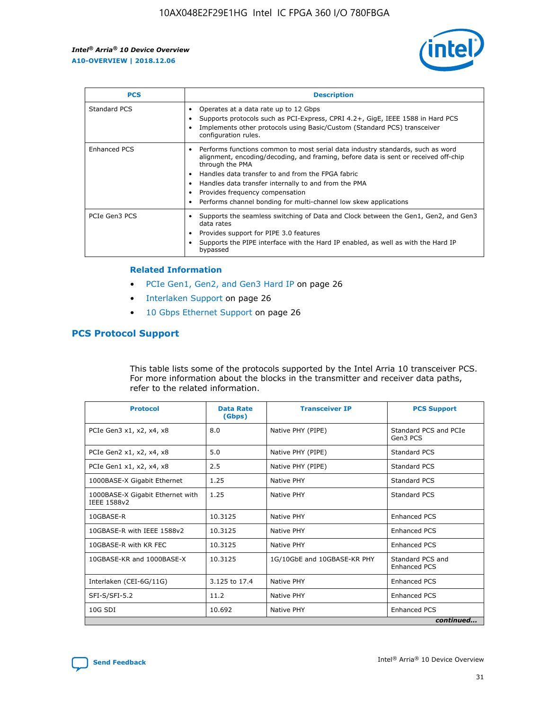

| <b>PCS</b>    | <b>Description</b>                                                                                                                                                                                                                                                                                                                                                                                                          |
|---------------|-----------------------------------------------------------------------------------------------------------------------------------------------------------------------------------------------------------------------------------------------------------------------------------------------------------------------------------------------------------------------------------------------------------------------------|
| Standard PCS  | Operates at a data rate up to 12 Gbps<br>Supports protocols such as PCI-Express, CPRI 4.2+, GigE, IEEE 1588 in Hard PCS<br>Implements other protocols using Basic/Custom (Standard PCS) transceiver<br>configuration rules.                                                                                                                                                                                                 |
| Enhanced PCS  | Performs functions common to most serial data industry standards, such as word<br>$\bullet$<br>alignment, encoding/decoding, and framing, before data is sent or received off-chip<br>through the PMA<br>• Handles data transfer to and from the FPGA fabric<br>Handles data transfer internally to and from the PMA<br>Provides frequency compensation<br>Performs channel bonding for multi-channel low skew applications |
| PCIe Gen3 PCS | Supports the seamless switching of Data and Clock between the Gen1, Gen2, and Gen3<br>data rates<br>Provides support for PIPE 3.0 features<br>Supports the PIPE interface with the Hard IP enabled, as well as with the Hard IP<br>bypassed                                                                                                                                                                                 |

#### **Related Information**

- PCIe Gen1, Gen2, and Gen3 Hard IP on page 26
- Interlaken Support on page 26
- 10 Gbps Ethernet Support on page 26

#### **PCS Protocol Support**

This table lists some of the protocols supported by the Intel Arria 10 transceiver PCS. For more information about the blocks in the transmitter and receiver data paths, refer to the related information.

| <b>Protocol</b>                                 | <b>Data Rate</b><br>(Gbps) | <b>Transceiver IP</b>       | <b>PCS Support</b>                      |
|-------------------------------------------------|----------------------------|-----------------------------|-----------------------------------------|
| PCIe Gen3 x1, x2, x4, x8                        | 8.0                        | Native PHY (PIPE)           | Standard PCS and PCIe<br>Gen3 PCS       |
| PCIe Gen2 x1, x2, x4, x8                        | 5.0                        | Native PHY (PIPE)           | <b>Standard PCS</b>                     |
| PCIe Gen1 x1, x2, x4, x8                        | 2.5                        | Native PHY (PIPE)           | Standard PCS                            |
| 1000BASE-X Gigabit Ethernet                     | 1.25                       | Native PHY                  | <b>Standard PCS</b>                     |
| 1000BASE-X Gigabit Ethernet with<br>IEEE 1588v2 | 1.25                       | Native PHY                  | Standard PCS                            |
| 10GBASE-R                                       | 10.3125                    | Native PHY                  | <b>Enhanced PCS</b>                     |
| 10GBASE-R with IEEE 1588v2                      | 10.3125                    | Native PHY                  | <b>Enhanced PCS</b>                     |
| 10GBASE-R with KR FEC                           | 10.3125                    | Native PHY                  | <b>Enhanced PCS</b>                     |
| 10GBASE-KR and 1000BASE-X                       | 10.3125                    | 1G/10GbE and 10GBASE-KR PHY | Standard PCS and<br><b>Enhanced PCS</b> |
| Interlaken (CEI-6G/11G)                         | 3.125 to 17.4              | Native PHY                  | <b>Enhanced PCS</b>                     |
| SFI-S/SFI-5.2                                   | 11.2                       | Native PHY                  | <b>Enhanced PCS</b>                     |
| $10G$ SDI                                       | 10.692                     | Native PHY                  | <b>Enhanced PCS</b>                     |
|                                                 |                            |                             | continued                               |

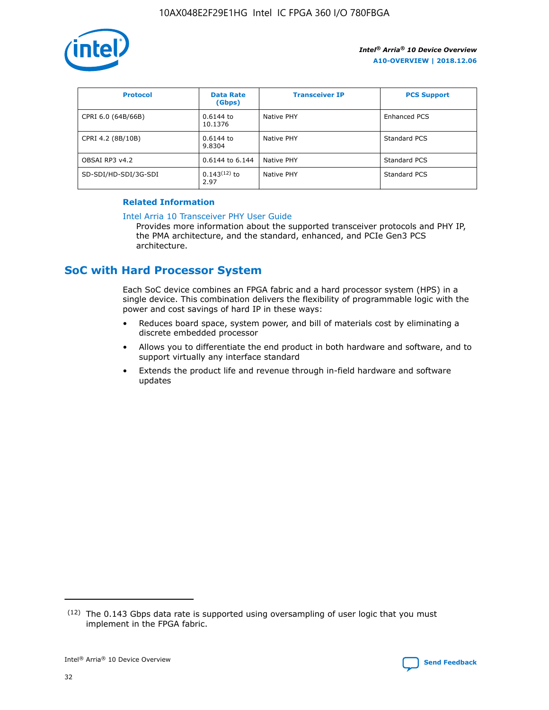

| <b>Protocol</b>      | <b>Data Rate</b><br>(Gbps) | <b>Transceiver IP</b> | <b>PCS Support</b> |
|----------------------|----------------------------|-----------------------|--------------------|
| CPRI 6.0 (64B/66B)   | 0.6144 to<br>10.1376       | Native PHY            | Enhanced PCS       |
| CPRI 4.2 (8B/10B)    | 0.6144 to<br>9.8304        | Native PHY            | Standard PCS       |
| OBSAI RP3 v4.2       | 0.6144 to 6.144            | Native PHY            | Standard PCS       |
| SD-SDI/HD-SDI/3G-SDI | $0.143(12)$ to<br>2.97     | Native PHY            | Standard PCS       |

#### **Related Information**

#### [Intel Arria 10 Transceiver PHY User Guide](https://www.intel.com/content/www/us/en/programmable/documentation/nik1398707230472.html#nik1398707091164)

Provides more information about the supported transceiver protocols and PHY IP, the PMA architecture, and the standard, enhanced, and PCIe Gen3 PCS architecture.

## **SoC with Hard Processor System**

Each SoC device combines an FPGA fabric and a hard processor system (HPS) in a single device. This combination delivers the flexibility of programmable logic with the power and cost savings of hard IP in these ways:

- Reduces board space, system power, and bill of materials cost by eliminating a discrete embedded processor
- Allows you to differentiate the end product in both hardware and software, and to support virtually any interface standard
- Extends the product life and revenue through in-field hardware and software updates

 $(12)$  The 0.143 Gbps data rate is supported using oversampling of user logic that you must implement in the FPGA fabric.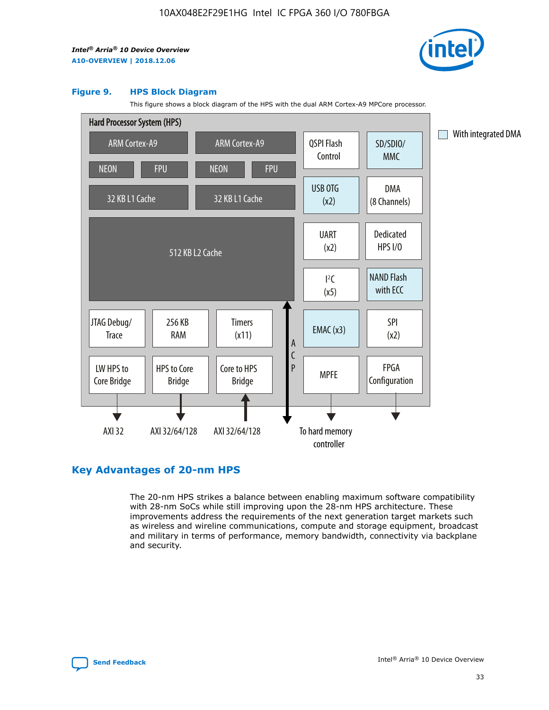

#### **Figure 9. HPS Block Diagram**

This figure shows a block diagram of the HPS with the dual ARM Cortex-A9 MPCore processor.



## **Key Advantages of 20-nm HPS**

The 20-nm HPS strikes a balance between enabling maximum software compatibility with 28-nm SoCs while still improving upon the 28-nm HPS architecture. These improvements address the requirements of the next generation target markets such as wireless and wireline communications, compute and storage equipment, broadcast and military in terms of performance, memory bandwidth, connectivity via backplane and security.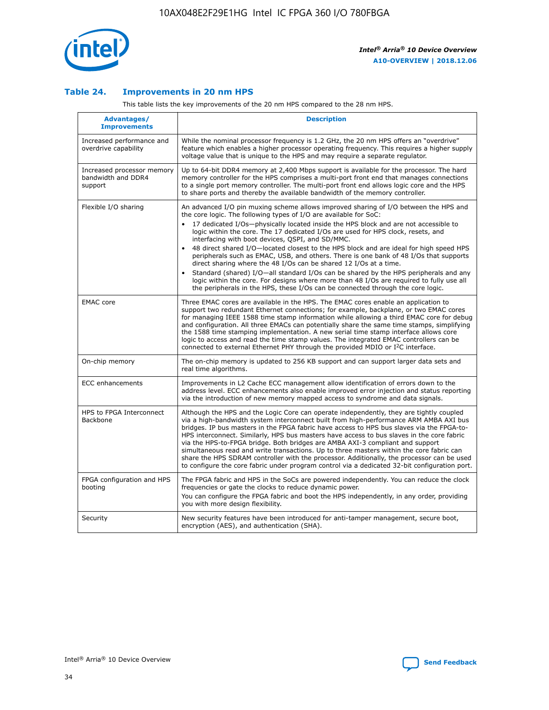

#### **Table 24. Improvements in 20 nm HPS**

This table lists the key improvements of the 20 nm HPS compared to the 28 nm HPS.

| Advantages/<br><b>Improvements</b>                          | <b>Description</b>                                                                                                                                                                                                                                                                                                                                                                                                                                                                                                                                                                                                                                                                                                                                                                                                                                                                                                                                |
|-------------------------------------------------------------|---------------------------------------------------------------------------------------------------------------------------------------------------------------------------------------------------------------------------------------------------------------------------------------------------------------------------------------------------------------------------------------------------------------------------------------------------------------------------------------------------------------------------------------------------------------------------------------------------------------------------------------------------------------------------------------------------------------------------------------------------------------------------------------------------------------------------------------------------------------------------------------------------------------------------------------------------|
| Increased performance and<br>overdrive capability           | While the nominal processor frequency is 1.2 GHz, the 20 nm HPS offers an "overdrive"<br>feature which enables a higher processor operating frequency. This requires a higher supply<br>voltage value that is unique to the HPS and may require a separate regulator.                                                                                                                                                                                                                                                                                                                                                                                                                                                                                                                                                                                                                                                                             |
| Increased processor memory<br>bandwidth and DDR4<br>support | Up to 64-bit DDR4 memory at 2,400 Mbps support is available for the processor. The hard<br>memory controller for the HPS comprises a multi-port front end that manages connections<br>to a single port memory controller. The multi-port front end allows logic core and the HPS<br>to share ports and thereby the available bandwidth of the memory controller.                                                                                                                                                                                                                                                                                                                                                                                                                                                                                                                                                                                  |
| Flexible I/O sharing                                        | An advanced I/O pin muxing scheme allows improved sharing of I/O between the HPS and<br>the core logic. The following types of I/O are available for SoC:<br>$\bullet$<br>17 dedicated I/Os-physically located inside the HPS block and are not accessible to<br>logic within the core. The 17 dedicated I/Os are used for HPS clock, resets, and<br>interfacing with boot devices, QSPI, and SD/MMC.<br>48 direct shared I/O-located closest to the HPS block and are ideal for high speed HPS<br>$\bullet$<br>peripherals such as EMAC, USB, and others. There is one bank of 48 I/Os that supports<br>direct sharing where the 48 I/Os can be shared 12 I/Os at a time.<br>Standard (shared) I/O-all standard I/Os can be shared by the HPS peripherals and any<br>logic within the core. For designs where more than 48 I/Os are required to fully use all<br>the peripherals in the HPS, these I/Os can be connected through the core logic. |
| <b>EMAC</b> core                                            | Three EMAC cores are available in the HPS. The EMAC cores enable an application to<br>support two redundant Ethernet connections; for example, backplane, or two EMAC cores<br>for managing IEEE 1588 time stamp information while allowing a third EMAC core for debug<br>and configuration. All three EMACs can potentially share the same time stamps, simplifying<br>the 1588 time stamping implementation. A new serial time stamp interface allows core<br>logic to access and read the time stamp values. The integrated EMAC controllers can be<br>connected to external Ethernet PHY through the provided MDIO or I <sup>2</sup> C interface.                                                                                                                                                                                                                                                                                            |
| On-chip memory                                              | The on-chip memory is updated to 256 KB support and can support larger data sets and<br>real time algorithms.                                                                                                                                                                                                                                                                                                                                                                                                                                                                                                                                                                                                                                                                                                                                                                                                                                     |
| <b>ECC</b> enhancements                                     | Improvements in L2 Cache ECC management allow identification of errors down to the<br>address level. ECC enhancements also enable improved error injection and status reporting<br>via the introduction of new memory mapped access to syndrome and data signals.                                                                                                                                                                                                                                                                                                                                                                                                                                                                                                                                                                                                                                                                                 |
| HPS to FPGA Interconnect<br>Backbone                        | Although the HPS and the Logic Core can operate independently, they are tightly coupled<br>via a high-bandwidth system interconnect built from high-performance ARM AMBA AXI bus<br>bridges. IP bus masters in the FPGA fabric have access to HPS bus slaves via the FPGA-to-<br>HPS interconnect. Similarly, HPS bus masters have access to bus slaves in the core fabric<br>via the HPS-to-FPGA bridge. Both bridges are AMBA AXI-3 compliant and support<br>simultaneous read and write transactions. Up to three masters within the core fabric can<br>share the HPS SDRAM controller with the processor. Additionally, the processor can be used<br>to configure the core fabric under program control via a dedicated 32-bit configuration port.                                                                                                                                                                                            |
| FPGA configuration and HPS<br>booting                       | The FPGA fabric and HPS in the SoCs are powered independently. You can reduce the clock<br>frequencies or gate the clocks to reduce dynamic power.<br>You can configure the FPGA fabric and boot the HPS independently, in any order, providing<br>you with more design flexibility.                                                                                                                                                                                                                                                                                                                                                                                                                                                                                                                                                                                                                                                              |
| Security                                                    | New security features have been introduced for anti-tamper management, secure boot,<br>encryption (AES), and authentication (SHA).                                                                                                                                                                                                                                                                                                                                                                                                                                                                                                                                                                                                                                                                                                                                                                                                                |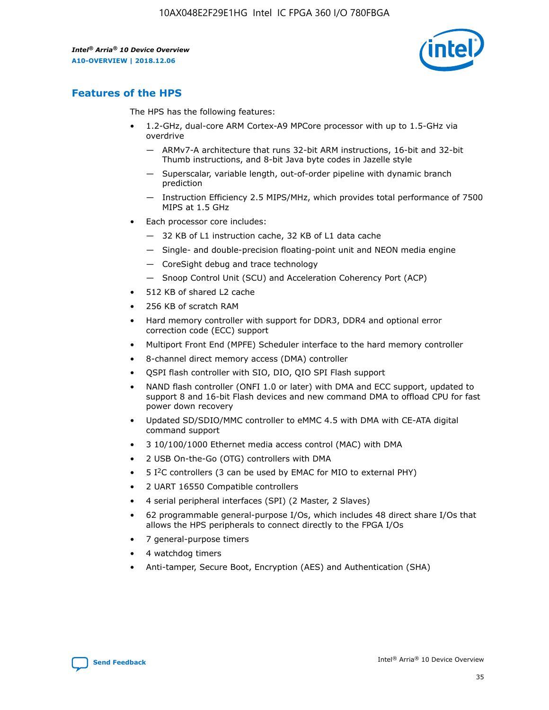

## **Features of the HPS**

The HPS has the following features:

- 1.2-GHz, dual-core ARM Cortex-A9 MPCore processor with up to 1.5-GHz via overdrive
	- ARMv7-A architecture that runs 32-bit ARM instructions, 16-bit and 32-bit Thumb instructions, and 8-bit Java byte codes in Jazelle style
	- Superscalar, variable length, out-of-order pipeline with dynamic branch prediction
	- Instruction Efficiency 2.5 MIPS/MHz, which provides total performance of 7500 MIPS at 1.5 GHz
- Each processor core includes:
	- 32 KB of L1 instruction cache, 32 KB of L1 data cache
	- Single- and double-precision floating-point unit and NEON media engine
	- CoreSight debug and trace technology
	- Snoop Control Unit (SCU) and Acceleration Coherency Port (ACP)
- 512 KB of shared L2 cache
- 256 KB of scratch RAM
- Hard memory controller with support for DDR3, DDR4 and optional error correction code (ECC) support
- Multiport Front End (MPFE) Scheduler interface to the hard memory controller
- 8-channel direct memory access (DMA) controller
- QSPI flash controller with SIO, DIO, QIO SPI Flash support
- NAND flash controller (ONFI 1.0 or later) with DMA and ECC support, updated to support 8 and 16-bit Flash devices and new command DMA to offload CPU for fast power down recovery
- Updated SD/SDIO/MMC controller to eMMC 4.5 with DMA with CE-ATA digital command support
- 3 10/100/1000 Ethernet media access control (MAC) with DMA
- 2 USB On-the-Go (OTG) controllers with DMA
- $\bullet$  5 I<sup>2</sup>C controllers (3 can be used by EMAC for MIO to external PHY)
- 2 UART 16550 Compatible controllers
- 4 serial peripheral interfaces (SPI) (2 Master, 2 Slaves)
- 62 programmable general-purpose I/Os, which includes 48 direct share I/Os that allows the HPS peripherals to connect directly to the FPGA I/Os
- 7 general-purpose timers
- 4 watchdog timers
- Anti-tamper, Secure Boot, Encryption (AES) and Authentication (SHA)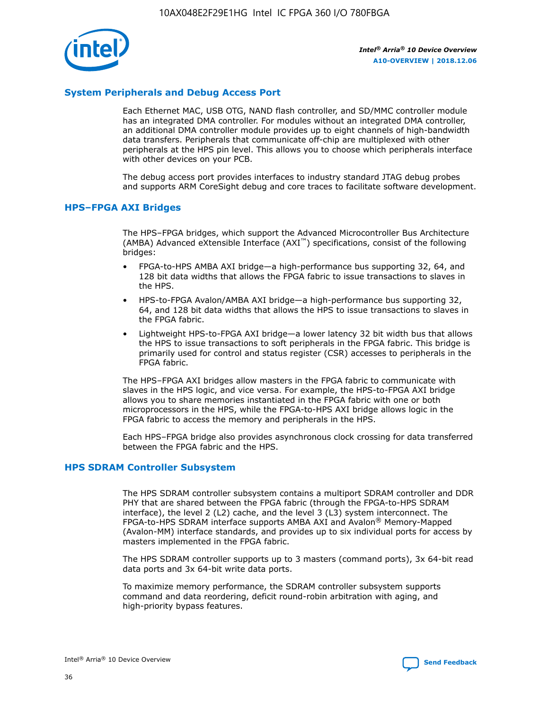

#### **System Peripherals and Debug Access Port**

Each Ethernet MAC, USB OTG, NAND flash controller, and SD/MMC controller module has an integrated DMA controller. For modules without an integrated DMA controller, an additional DMA controller module provides up to eight channels of high-bandwidth data transfers. Peripherals that communicate off-chip are multiplexed with other peripherals at the HPS pin level. This allows you to choose which peripherals interface with other devices on your PCB.

The debug access port provides interfaces to industry standard JTAG debug probes and supports ARM CoreSight debug and core traces to facilitate software development.

#### **HPS–FPGA AXI Bridges**

The HPS–FPGA bridges, which support the Advanced Microcontroller Bus Architecture (AMBA) Advanced eXtensible Interface (AXI™) specifications, consist of the following bridges:

- FPGA-to-HPS AMBA AXI bridge—a high-performance bus supporting 32, 64, and 128 bit data widths that allows the FPGA fabric to issue transactions to slaves in the HPS.
- HPS-to-FPGA Avalon/AMBA AXI bridge—a high-performance bus supporting 32, 64, and 128 bit data widths that allows the HPS to issue transactions to slaves in the FPGA fabric.
- Lightweight HPS-to-FPGA AXI bridge—a lower latency 32 bit width bus that allows the HPS to issue transactions to soft peripherals in the FPGA fabric. This bridge is primarily used for control and status register (CSR) accesses to peripherals in the FPGA fabric.

The HPS–FPGA AXI bridges allow masters in the FPGA fabric to communicate with slaves in the HPS logic, and vice versa. For example, the HPS-to-FPGA AXI bridge allows you to share memories instantiated in the FPGA fabric with one or both microprocessors in the HPS, while the FPGA-to-HPS AXI bridge allows logic in the FPGA fabric to access the memory and peripherals in the HPS.

Each HPS–FPGA bridge also provides asynchronous clock crossing for data transferred between the FPGA fabric and the HPS.

#### **HPS SDRAM Controller Subsystem**

The HPS SDRAM controller subsystem contains a multiport SDRAM controller and DDR PHY that are shared between the FPGA fabric (through the FPGA-to-HPS SDRAM interface), the level 2 (L2) cache, and the level 3 (L3) system interconnect. The FPGA-to-HPS SDRAM interface supports AMBA AXI and Avalon® Memory-Mapped (Avalon-MM) interface standards, and provides up to six individual ports for access by masters implemented in the FPGA fabric.

The HPS SDRAM controller supports up to 3 masters (command ports), 3x 64-bit read data ports and 3x 64-bit write data ports.

To maximize memory performance, the SDRAM controller subsystem supports command and data reordering, deficit round-robin arbitration with aging, and high-priority bypass features.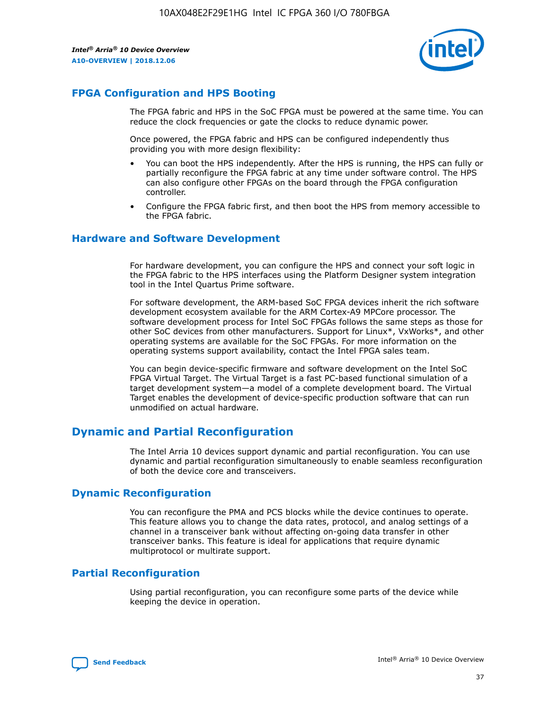

## **FPGA Configuration and HPS Booting**

The FPGA fabric and HPS in the SoC FPGA must be powered at the same time. You can reduce the clock frequencies or gate the clocks to reduce dynamic power.

Once powered, the FPGA fabric and HPS can be configured independently thus providing you with more design flexibility:

- You can boot the HPS independently. After the HPS is running, the HPS can fully or partially reconfigure the FPGA fabric at any time under software control. The HPS can also configure other FPGAs on the board through the FPGA configuration controller.
- Configure the FPGA fabric first, and then boot the HPS from memory accessible to the FPGA fabric.

#### **Hardware and Software Development**

For hardware development, you can configure the HPS and connect your soft logic in the FPGA fabric to the HPS interfaces using the Platform Designer system integration tool in the Intel Quartus Prime software.

For software development, the ARM-based SoC FPGA devices inherit the rich software development ecosystem available for the ARM Cortex-A9 MPCore processor. The software development process for Intel SoC FPGAs follows the same steps as those for other SoC devices from other manufacturers. Support for Linux\*, VxWorks\*, and other operating systems are available for the SoC FPGAs. For more information on the operating systems support availability, contact the Intel FPGA sales team.

You can begin device-specific firmware and software development on the Intel SoC FPGA Virtual Target. The Virtual Target is a fast PC-based functional simulation of a target development system—a model of a complete development board. The Virtual Target enables the development of device-specific production software that can run unmodified on actual hardware.

## **Dynamic and Partial Reconfiguration**

The Intel Arria 10 devices support dynamic and partial reconfiguration. You can use dynamic and partial reconfiguration simultaneously to enable seamless reconfiguration of both the device core and transceivers.

## **Dynamic Reconfiguration**

You can reconfigure the PMA and PCS blocks while the device continues to operate. This feature allows you to change the data rates, protocol, and analog settings of a channel in a transceiver bank without affecting on-going data transfer in other transceiver banks. This feature is ideal for applications that require dynamic multiprotocol or multirate support.

## **Partial Reconfiguration**

Using partial reconfiguration, you can reconfigure some parts of the device while keeping the device in operation.

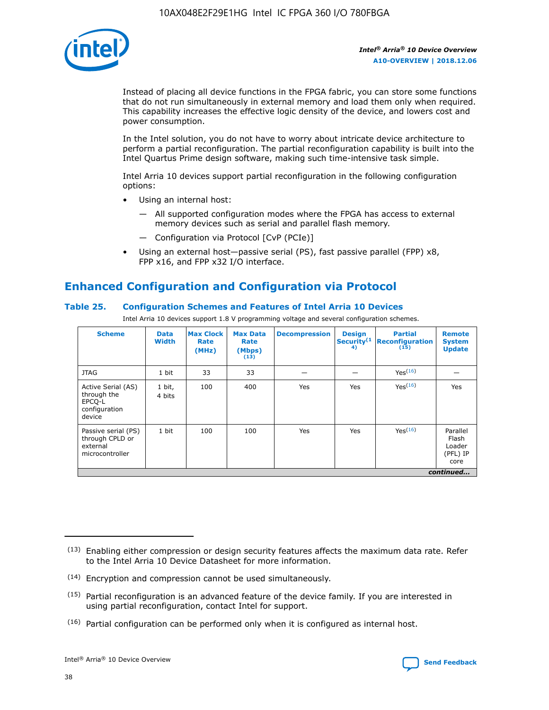

Instead of placing all device functions in the FPGA fabric, you can store some functions that do not run simultaneously in external memory and load them only when required. This capability increases the effective logic density of the device, and lowers cost and power consumption.

In the Intel solution, you do not have to worry about intricate device architecture to perform a partial reconfiguration. The partial reconfiguration capability is built into the Intel Quartus Prime design software, making such time-intensive task simple.

Intel Arria 10 devices support partial reconfiguration in the following configuration options:

- Using an internal host:
	- All supported configuration modes where the FPGA has access to external memory devices such as serial and parallel flash memory.
	- Configuration via Protocol [CvP (PCIe)]
- Using an external host—passive serial (PS), fast passive parallel (FPP) x8, FPP x16, and FPP x32 I/O interface.

## **Enhanced Configuration and Configuration via Protocol**

#### **Table 25. Configuration Schemes and Features of Intel Arria 10 Devices**

Intel Arria 10 devices support 1.8 V programming voltage and several configuration schemes.

| <b>Scheme</b>                                                          | <b>Data</b><br><b>Width</b> | <b>Max Clock</b><br>Rate<br>(MHz) | <b>Max Data</b><br>Rate<br>(Mbps)<br>(13) | <b>Decompression</b> | <b>Design</b><br>Security <sup>(1</sup><br>4) | <b>Partial</b><br><b>Reconfiguration</b><br>(15) | <b>Remote</b><br><b>System</b><br><b>Update</b> |
|------------------------------------------------------------------------|-----------------------------|-----------------------------------|-------------------------------------------|----------------------|-----------------------------------------------|--------------------------------------------------|-------------------------------------------------|
| <b>JTAG</b>                                                            | 1 bit                       | 33                                | 33                                        |                      |                                               | Yes(16)                                          |                                                 |
| Active Serial (AS)<br>through the<br>EPCO-L<br>configuration<br>device | 1 bit,<br>4 bits            | 100                               | 400                                       | Yes                  | Yes                                           | $Y_{PS}(16)$                                     | Yes                                             |
| Passive serial (PS)<br>through CPLD or<br>external<br>microcontroller  | 1 bit                       | 100                               | 100                                       | Yes                  | Yes                                           | Yes(16)                                          | Parallel<br>Flash<br>Loader<br>(PFL) IP<br>core |
|                                                                        |                             |                                   |                                           |                      |                                               |                                                  | continued                                       |

<sup>(13)</sup> Enabling either compression or design security features affects the maximum data rate. Refer to the Intel Arria 10 Device Datasheet for more information.

<sup>(14)</sup> Encryption and compression cannot be used simultaneously.

 $(15)$  Partial reconfiguration is an advanced feature of the device family. If you are interested in using partial reconfiguration, contact Intel for support.

 $(16)$  Partial configuration can be performed only when it is configured as internal host.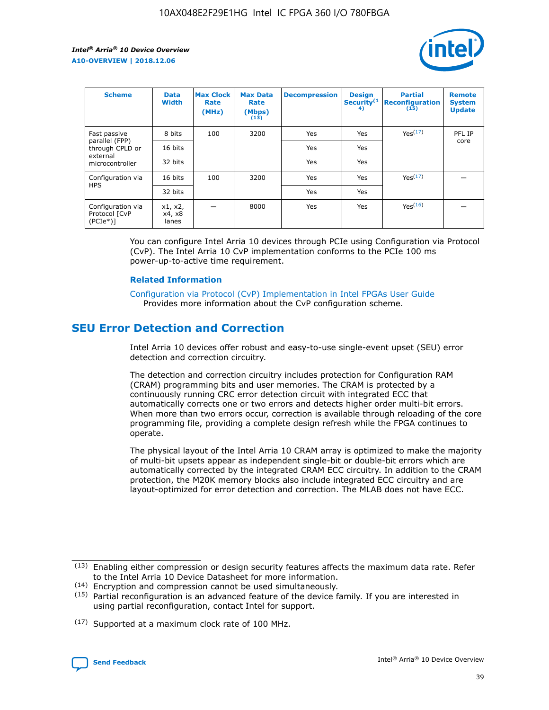

| <b>Scheme</b>                                   | <b>Data</b><br><b>Width</b> | <b>Max Clock</b><br>Rate<br>(MHz) | <b>Max Data</b><br>Rate<br>(Mbps)<br>(13) | <b>Decompression</b> | <b>Design</b><br>Security <sup>(1</sup><br>4) | <b>Partial</b><br><b>Reconfiguration</b><br>(15) | <b>Remote</b><br><b>System</b><br><b>Update</b> |
|-------------------------------------------------|-----------------------------|-----------------------------------|-------------------------------------------|----------------------|-----------------------------------------------|--------------------------------------------------|-------------------------------------------------|
| Fast passive                                    | 8 bits                      | 100                               | 3200                                      | Yes                  | Yes                                           | Yes(17)                                          | PFL IP                                          |
| parallel (FPP)<br>through CPLD or               | 16 bits                     |                                   |                                           | Yes                  | Yes                                           |                                                  | core                                            |
| external<br>microcontroller                     | 32 bits                     |                                   |                                           | Yes                  | Yes                                           |                                                  |                                                 |
| Configuration via                               | 16 bits                     | 100                               | 3200                                      | Yes                  | Yes                                           | Yes <sup>(17)</sup>                              |                                                 |
| <b>HPS</b>                                      | 32 bits                     |                                   |                                           | Yes                  | Yes                                           |                                                  |                                                 |
| Configuration via<br>Protocol [CvP<br>$(PCIe*)$ | x1, x2,<br>x4, x8<br>lanes  |                                   | 8000                                      | Yes                  | Yes                                           | Yes <sup>(16)</sup>                              |                                                 |

You can configure Intel Arria 10 devices through PCIe using Configuration via Protocol (CvP). The Intel Arria 10 CvP implementation conforms to the PCIe 100 ms power-up-to-active time requirement.

#### **Related Information**

[Configuration via Protocol \(CvP\) Implementation in Intel FPGAs User Guide](https://www.intel.com/content/www/us/en/programmable/documentation/dsu1441819344145.html#dsu1442269728522) Provides more information about the CvP configuration scheme.

## **SEU Error Detection and Correction**

Intel Arria 10 devices offer robust and easy-to-use single-event upset (SEU) error detection and correction circuitry.

The detection and correction circuitry includes protection for Configuration RAM (CRAM) programming bits and user memories. The CRAM is protected by a continuously running CRC error detection circuit with integrated ECC that automatically corrects one or two errors and detects higher order multi-bit errors. When more than two errors occur, correction is available through reloading of the core programming file, providing a complete design refresh while the FPGA continues to operate.

The physical layout of the Intel Arria 10 CRAM array is optimized to make the majority of multi-bit upsets appear as independent single-bit or double-bit errors which are automatically corrected by the integrated CRAM ECC circuitry. In addition to the CRAM protection, the M20K memory blocks also include integrated ECC circuitry and are layout-optimized for error detection and correction. The MLAB does not have ECC.

(14) Encryption and compression cannot be used simultaneously.

<sup>(17)</sup> Supported at a maximum clock rate of 100 MHz.



 $(13)$  Enabling either compression or design security features affects the maximum data rate. Refer to the Intel Arria 10 Device Datasheet for more information.

 $(15)$  Partial reconfiguration is an advanced feature of the device family. If you are interested in using partial reconfiguration, contact Intel for support.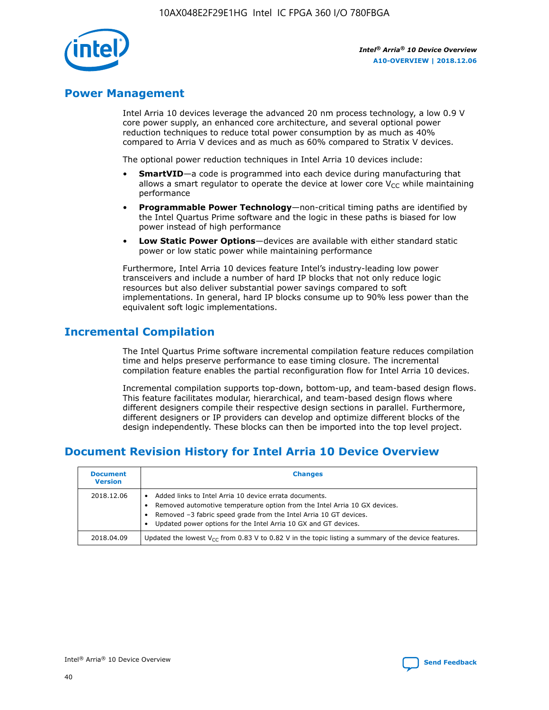

## **Power Management**

Intel Arria 10 devices leverage the advanced 20 nm process technology, a low 0.9 V core power supply, an enhanced core architecture, and several optional power reduction techniques to reduce total power consumption by as much as 40% compared to Arria V devices and as much as 60% compared to Stratix V devices.

The optional power reduction techniques in Intel Arria 10 devices include:

- **SmartVID**—a code is programmed into each device during manufacturing that allows a smart regulator to operate the device at lower core  $V_{CC}$  while maintaining performance
- **Programmable Power Technology**—non-critical timing paths are identified by the Intel Quartus Prime software and the logic in these paths is biased for low power instead of high performance
- **Low Static Power Options**—devices are available with either standard static power or low static power while maintaining performance

Furthermore, Intel Arria 10 devices feature Intel's industry-leading low power transceivers and include a number of hard IP blocks that not only reduce logic resources but also deliver substantial power savings compared to soft implementations. In general, hard IP blocks consume up to 90% less power than the equivalent soft logic implementations.

## **Incremental Compilation**

The Intel Quartus Prime software incremental compilation feature reduces compilation time and helps preserve performance to ease timing closure. The incremental compilation feature enables the partial reconfiguration flow for Intel Arria 10 devices.

Incremental compilation supports top-down, bottom-up, and team-based design flows. This feature facilitates modular, hierarchical, and team-based design flows where different designers compile their respective design sections in parallel. Furthermore, different designers or IP providers can develop and optimize different blocks of the design independently. These blocks can then be imported into the top level project.

## **Document Revision History for Intel Arria 10 Device Overview**

| <b>Document</b><br><b>Version</b> | <b>Changes</b>                                                                                                                                                                                                                                                              |
|-----------------------------------|-----------------------------------------------------------------------------------------------------------------------------------------------------------------------------------------------------------------------------------------------------------------------------|
| 2018.12.06                        | Added links to Intel Arria 10 device errata documents.<br>Removed automotive temperature option from the Intel Arria 10 GX devices.<br>Removed -3 fabric speed grade from the Intel Arria 10 GT devices.<br>Updated power options for the Intel Arria 10 GX and GT devices. |
| 2018.04.09                        | Updated the lowest $V_{CC}$ from 0.83 V to 0.82 V in the topic listing a summary of the device features.                                                                                                                                                                    |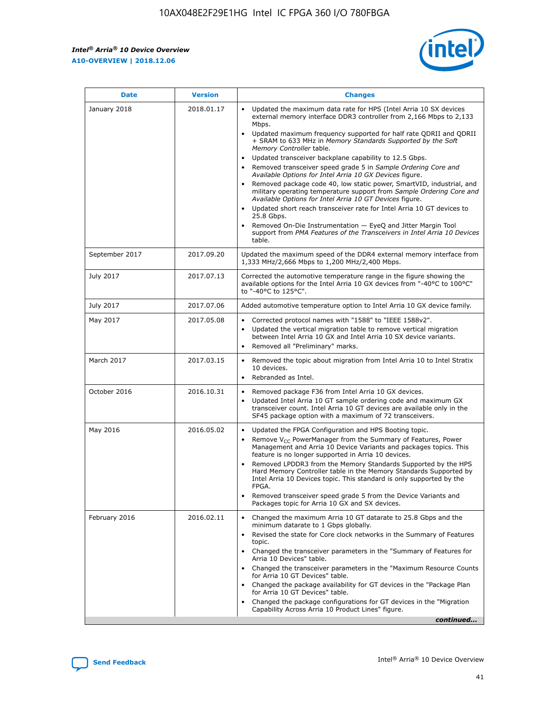$\overline{\phantom{a}}$ 

 $\mathsf{r}$ 



| January 2018<br>Updated the maximum data rate for HPS (Intel Arria 10 SX devices<br>2018.01.17<br>external memory interface DDR3 controller from 2,166 Mbps to 2,133<br>Mbps.<br>$\bullet$<br>+ SRAM to 633 MHz in Memory Standards Supported by the Soft<br>Memory Controller table.<br>Updated transceiver backplane capability to 12.5 Gbps.<br>$\bullet$<br>Removed transceiver speed grade 5 in Sample Ordering Core and<br>Available Options for Intel Arria 10 GX Devices figure.<br>Available Options for Intel Arria 10 GT Devices figure.<br>Updated short reach transceiver rate for Intel Arria 10 GT devices to<br>$\bullet$<br>25.8 Gbps.<br>Removed On-Die Instrumentation - EyeQ and Jitter Margin Tool<br>table.<br>2017.09.20<br>September 2017<br>1,333 MHz/2,666 Mbps to 1,200 MHz/2,400 Mbps.<br>July 2017<br>2017.07.13<br>Corrected the automotive temperature range in the figure showing the<br>available options for the Intel Arria 10 GX devices from "-40°C to 100°C"<br>to "-40°C to 125°C".<br>July 2017<br>2017.07.06<br>Added automotive temperature option to Intel Arria 10 GX device family.<br>2017.05.08<br>Corrected protocol names with "1588" to "IEEE 1588v2".<br>May 2017<br>$\bullet$<br>Updated the vertical migration table to remove vertical migration<br>$\bullet$<br>between Intel Arria 10 GX and Intel Arria 10 SX device variants.<br>Removed all "Preliminary" marks.<br>2017.03.15<br>March 2017<br>Removed the topic about migration from Intel Arria 10 to Intel Stratix<br>10 devices.<br>Rebranded as Intel.<br>$\bullet$<br>October 2016<br>2016.10.31<br>Removed package F36 from Intel Arria 10 GX devices.<br>$\bullet$<br>Updated Intel Arria 10 GT sample ordering code and maximum GX<br>$\bullet$<br>transceiver count. Intel Arria 10 GT devices are available only in the<br>SF45 package option with a maximum of 72 transceivers.<br>May 2016<br>2016.05.02<br>Updated the FPGA Configuration and HPS Booting topic.<br>Remove $V_{CC}$ PowerManager from the Summary of Features, Power<br>Management and Arria 10 Device Variants and packages topics. This<br>feature is no longer supported in Arria 10 devices.<br>Removed LPDDR3 from the Memory Standards Supported by the HPS<br>Hard Memory Controller table in the Memory Standards Supported by<br>Intel Arria 10 Devices topic. This standard is only supported by the<br>FPGA.<br>Removed transceiver speed grade 5 from the Device Variants and<br>Packages topic for Arria 10 GX and SX devices.<br>Changed the maximum Arria 10 GT datarate to 25.8 Gbps and the<br>February 2016<br>2016.02.11<br>minimum datarate to 1 Gbps globally.<br>Revised the state for Core clock networks in the Summary of Features<br>$\bullet$<br>topic.<br>• Changed the transceiver parameters in the "Summary of Features for<br>Arria 10 Devices" table.<br>for Arria 10 GT Devices" table.<br>• Changed the package availability for GT devices in the "Package Plan<br>for Arria 10 GT Devices" table.<br>Changed the package configurations for GT devices in the "Migration"<br>Capability Across Arria 10 Product Lines" figure. | <b>Date</b> | <b>Version</b> | <b>Changes</b>                                                                                                                                                                                                                                                                               |
|----------------------------------------------------------------------------------------------------------------------------------------------------------------------------------------------------------------------------------------------------------------------------------------------------------------------------------------------------------------------------------------------------------------------------------------------------------------------------------------------------------------------------------------------------------------------------------------------------------------------------------------------------------------------------------------------------------------------------------------------------------------------------------------------------------------------------------------------------------------------------------------------------------------------------------------------------------------------------------------------------------------------------------------------------------------------------------------------------------------------------------------------------------------------------------------------------------------------------------------------------------------------------------------------------------------------------------------------------------------------------------------------------------------------------------------------------------------------------------------------------------------------------------------------------------------------------------------------------------------------------------------------------------------------------------------------------------------------------------------------------------------------------------------------------------------------------------------------------------------------------------------------------------------------------------------------------------------------------------------------------------------------------------------------------------------------------------------------------------------------------------------------------------------------------------------------------------------------------------------------------------------------------------------------------------------------------------------------------------------------------------------------------------------------------------------------------------------------------------------------------------------------------------------------------------------------------------------------------------------------------------------------------------------------------------------------------------------------------------------------------------------------------------------------------------------------------------------------------------------------------------------------------------------------------------------------------------------------------------------------------------------------------------------------------------------------------------------------------------------------------------------------------------------|-------------|----------------|----------------------------------------------------------------------------------------------------------------------------------------------------------------------------------------------------------------------------------------------------------------------------------------------|
|                                                                                                                                                                                                                                                                                                                                                                                                                                                                                                                                                                                                                                                                                                                                                                                                                                                                                                                                                                                                                                                                                                                                                                                                                                                                                                                                                                                                                                                                                                                                                                                                                                                                                                                                                                                                                                                                                                                                                                                                                                                                                                                                                                                                                                                                                                                                                                                                                                                                                                                                                                                                                                                                                                                                                                                                                                                                                                                                                                                                                                                                                                                                                                |             |                | Updated maximum frequency supported for half rate QDRII and QDRII<br>Removed package code 40, low static power, SmartVID, industrial, and<br>military operating temperature support from Sample Ordering Core and<br>support from PMA Features of the Transceivers in Intel Arria 10 Devices |
|                                                                                                                                                                                                                                                                                                                                                                                                                                                                                                                                                                                                                                                                                                                                                                                                                                                                                                                                                                                                                                                                                                                                                                                                                                                                                                                                                                                                                                                                                                                                                                                                                                                                                                                                                                                                                                                                                                                                                                                                                                                                                                                                                                                                                                                                                                                                                                                                                                                                                                                                                                                                                                                                                                                                                                                                                                                                                                                                                                                                                                                                                                                                                                |             |                | Updated the maximum speed of the DDR4 external memory interface from                                                                                                                                                                                                                         |
|                                                                                                                                                                                                                                                                                                                                                                                                                                                                                                                                                                                                                                                                                                                                                                                                                                                                                                                                                                                                                                                                                                                                                                                                                                                                                                                                                                                                                                                                                                                                                                                                                                                                                                                                                                                                                                                                                                                                                                                                                                                                                                                                                                                                                                                                                                                                                                                                                                                                                                                                                                                                                                                                                                                                                                                                                                                                                                                                                                                                                                                                                                                                                                |             |                |                                                                                                                                                                                                                                                                                              |
|                                                                                                                                                                                                                                                                                                                                                                                                                                                                                                                                                                                                                                                                                                                                                                                                                                                                                                                                                                                                                                                                                                                                                                                                                                                                                                                                                                                                                                                                                                                                                                                                                                                                                                                                                                                                                                                                                                                                                                                                                                                                                                                                                                                                                                                                                                                                                                                                                                                                                                                                                                                                                                                                                                                                                                                                                                                                                                                                                                                                                                                                                                                                                                |             |                |                                                                                                                                                                                                                                                                                              |
|                                                                                                                                                                                                                                                                                                                                                                                                                                                                                                                                                                                                                                                                                                                                                                                                                                                                                                                                                                                                                                                                                                                                                                                                                                                                                                                                                                                                                                                                                                                                                                                                                                                                                                                                                                                                                                                                                                                                                                                                                                                                                                                                                                                                                                                                                                                                                                                                                                                                                                                                                                                                                                                                                                                                                                                                                                                                                                                                                                                                                                                                                                                                                                |             |                |                                                                                                                                                                                                                                                                                              |
|                                                                                                                                                                                                                                                                                                                                                                                                                                                                                                                                                                                                                                                                                                                                                                                                                                                                                                                                                                                                                                                                                                                                                                                                                                                                                                                                                                                                                                                                                                                                                                                                                                                                                                                                                                                                                                                                                                                                                                                                                                                                                                                                                                                                                                                                                                                                                                                                                                                                                                                                                                                                                                                                                                                                                                                                                                                                                                                                                                                                                                                                                                                                                                |             |                |                                                                                                                                                                                                                                                                                              |
|                                                                                                                                                                                                                                                                                                                                                                                                                                                                                                                                                                                                                                                                                                                                                                                                                                                                                                                                                                                                                                                                                                                                                                                                                                                                                                                                                                                                                                                                                                                                                                                                                                                                                                                                                                                                                                                                                                                                                                                                                                                                                                                                                                                                                                                                                                                                                                                                                                                                                                                                                                                                                                                                                                                                                                                                                                                                                                                                                                                                                                                                                                                                                                |             |                |                                                                                                                                                                                                                                                                                              |
|                                                                                                                                                                                                                                                                                                                                                                                                                                                                                                                                                                                                                                                                                                                                                                                                                                                                                                                                                                                                                                                                                                                                                                                                                                                                                                                                                                                                                                                                                                                                                                                                                                                                                                                                                                                                                                                                                                                                                                                                                                                                                                                                                                                                                                                                                                                                                                                                                                                                                                                                                                                                                                                                                                                                                                                                                                                                                                                                                                                                                                                                                                                                                                |             |                |                                                                                                                                                                                                                                                                                              |
|                                                                                                                                                                                                                                                                                                                                                                                                                                                                                                                                                                                                                                                                                                                                                                                                                                                                                                                                                                                                                                                                                                                                                                                                                                                                                                                                                                                                                                                                                                                                                                                                                                                                                                                                                                                                                                                                                                                                                                                                                                                                                                                                                                                                                                                                                                                                                                                                                                                                                                                                                                                                                                                                                                                                                                                                                                                                                                                                                                                                                                                                                                                                                                |             |                | Changed the transceiver parameters in the "Maximum Resource Counts"<br>continued                                                                                                                                                                                                             |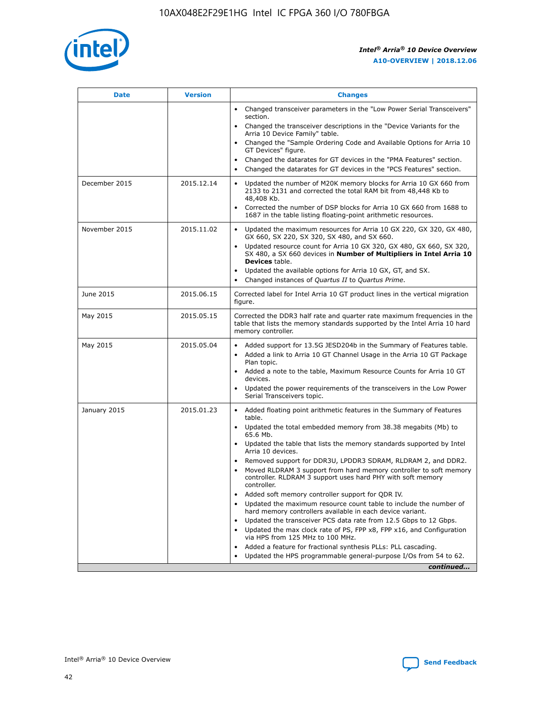

| <b>Date</b>   | <b>Version</b> | <b>Changes</b>                                                                                                                                                                   |
|---------------|----------------|----------------------------------------------------------------------------------------------------------------------------------------------------------------------------------|
|               |                | • Changed transceiver parameters in the "Low Power Serial Transceivers"<br>section.                                                                                              |
|               |                | • Changed the transceiver descriptions in the "Device Variants for the<br>Arria 10 Device Family" table.                                                                         |
|               |                | Changed the "Sample Ordering Code and Available Options for Arria 10<br>GT Devices" figure.                                                                                      |
|               |                | Changed the datarates for GT devices in the "PMA Features" section.                                                                                                              |
|               |                | Changed the datarates for GT devices in the "PCS Features" section.<br>$\bullet$                                                                                                 |
| December 2015 | 2015.12.14     | Updated the number of M20K memory blocks for Arria 10 GX 660 from<br>$\bullet$<br>2133 to 2131 and corrected the total RAM bit from 48,448 Kb to<br>48,408 Kb.                   |
|               |                | Corrected the number of DSP blocks for Arria 10 GX 660 from 1688 to<br>$\bullet$<br>1687 in the table listing floating-point arithmetic resources.                               |
| November 2015 | 2015.11.02     | Updated the maximum resources for Arria 10 GX 220, GX 320, GX 480,<br>$\bullet$<br>GX 660, SX 220, SX 320, SX 480, and SX 660.                                                   |
|               |                | Updated resource count for Arria 10 GX 320, GX 480, GX 660, SX 320,<br>$\bullet$<br>SX 480, a SX 660 devices in Number of Multipliers in Intel Arria 10<br><b>Devices</b> table. |
|               |                | Updated the available options for Arria 10 GX, GT, and SX.<br>$\bullet$                                                                                                          |
|               |                | Changed instances of Quartus II to Quartus Prime.<br>$\bullet$                                                                                                                   |
| June 2015     | 2015.06.15     | Corrected label for Intel Arria 10 GT product lines in the vertical migration<br>figure.                                                                                         |
| May 2015      | 2015.05.15     | Corrected the DDR3 half rate and quarter rate maximum frequencies in the<br>table that lists the memory standards supported by the Intel Arria 10 hard<br>memory controller.     |
| May 2015      | 2015.05.04     | • Added support for 13.5G JESD204b in the Summary of Features table.<br>• Added a link to Arria 10 GT Channel Usage in the Arria 10 GT Package<br>Plan topic.                    |
|               |                | • Added a note to the table, Maximum Resource Counts for Arria 10 GT<br>devices.                                                                                                 |
|               |                | Updated the power requirements of the transceivers in the Low Power<br>Serial Transceivers topic.                                                                                |
| January 2015  | 2015.01.23     | • Added floating point arithmetic features in the Summary of Features<br>table.                                                                                                  |
|               |                | • Updated the total embedded memory from 38.38 megabits (Mb) to<br>65.6 Mb.                                                                                                      |
|               |                | • Updated the table that lists the memory standards supported by Intel<br>Arria 10 devices.                                                                                      |
|               |                | Removed support for DDR3U, LPDDR3 SDRAM, RLDRAM 2, and DDR2.                                                                                                                     |
|               |                | Moved RLDRAM 3 support from hard memory controller to soft memory<br>controller. RLDRAM 3 support uses hard PHY with soft memory<br>controller.                                  |
|               |                | Added soft memory controller support for QDR IV.                                                                                                                                 |
|               |                | Updated the maximum resource count table to include the number of<br>hard memory controllers available in each device variant.                                                   |
|               |                | Updated the transceiver PCS data rate from 12.5 Gbps to 12 Gbps.<br>$\bullet$                                                                                                    |
|               |                | Updated the max clock rate of PS, FPP x8, FPP x16, and Configuration<br>via HPS from 125 MHz to 100 MHz.                                                                         |
|               |                | Added a feature for fractional synthesis PLLs: PLL cascading.                                                                                                                    |
|               |                | Updated the HPS programmable general-purpose I/Os from 54 to 62.                                                                                                                 |
|               |                | continued                                                                                                                                                                        |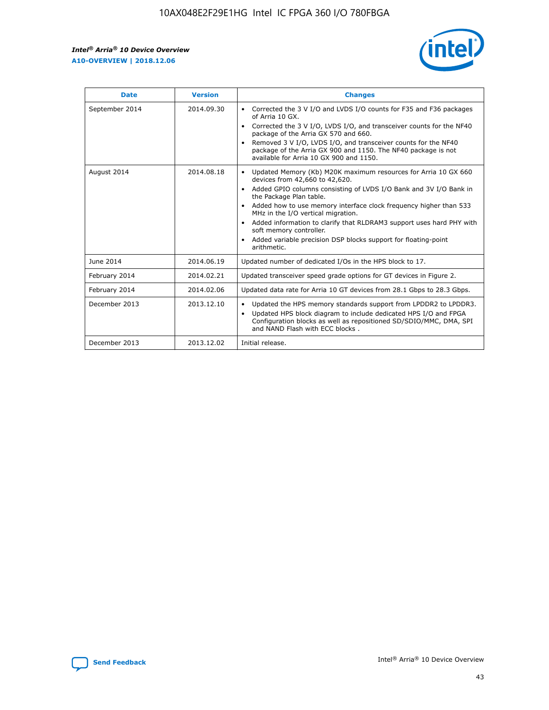

| <b>Date</b>    | <b>Version</b> | <b>Changes</b>                                                                                                                                                                                                                                                                                                                                                                                                                                                                                                                                                   |
|----------------|----------------|------------------------------------------------------------------------------------------------------------------------------------------------------------------------------------------------------------------------------------------------------------------------------------------------------------------------------------------------------------------------------------------------------------------------------------------------------------------------------------------------------------------------------------------------------------------|
| September 2014 | 2014.09.30     | Corrected the 3 V I/O and LVDS I/O counts for F35 and F36 packages<br>$\bullet$<br>of Arria 10 GX.<br>Corrected the 3 V I/O, LVDS I/O, and transceiver counts for the NF40<br>$\bullet$<br>package of the Arria GX 570 and 660.<br>Removed 3 V I/O, LVDS I/O, and transceiver counts for the NF40<br>$\bullet$<br>package of the Arria GX 900 and 1150. The NF40 package is not<br>available for Arria 10 GX 900 and 1150.                                                                                                                                       |
| August 2014    | 2014.08.18     | Updated Memory (Kb) M20K maximum resources for Arria 10 GX 660<br>$\bullet$<br>devices from 42,660 to 42,620.<br>Added GPIO columns consisting of LVDS I/O Bank and 3V I/O Bank in<br>$\bullet$<br>the Package Plan table.<br>Added how to use memory interface clock frequency higher than 533<br>$\bullet$<br>MHz in the I/O vertical migration.<br>Added information to clarify that RLDRAM3 support uses hard PHY with<br>$\bullet$<br>soft memory controller.<br>Added variable precision DSP blocks support for floating-point<br>$\bullet$<br>arithmetic. |
| June 2014      | 2014.06.19     | Updated number of dedicated I/Os in the HPS block to 17.                                                                                                                                                                                                                                                                                                                                                                                                                                                                                                         |
| February 2014  | 2014.02.21     | Updated transceiver speed grade options for GT devices in Figure 2.                                                                                                                                                                                                                                                                                                                                                                                                                                                                                              |
| February 2014  | 2014.02.06     | Updated data rate for Arria 10 GT devices from 28.1 Gbps to 28.3 Gbps.                                                                                                                                                                                                                                                                                                                                                                                                                                                                                           |
| December 2013  | 2013.12.10     | Updated the HPS memory standards support from LPDDR2 to LPDDR3.<br>٠<br>Updated HPS block diagram to include dedicated HPS I/O and FPGA<br>$\bullet$<br>Configuration blocks as well as repositioned SD/SDIO/MMC, DMA, SPI<br>and NAND Flash with ECC blocks.                                                                                                                                                                                                                                                                                                    |
| December 2013  | 2013.12.02     | Initial release.                                                                                                                                                                                                                                                                                                                                                                                                                                                                                                                                                 |